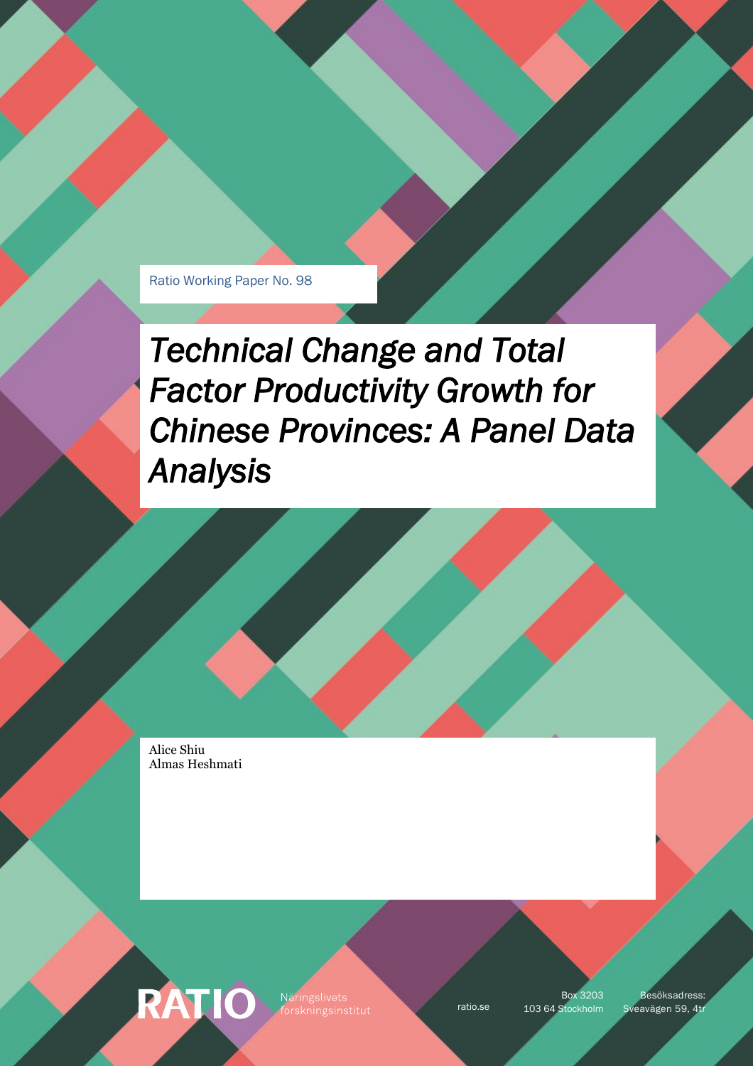Ratio Working Paper No. 98

*Technical Change and Total Factor Productivity Growth for Chinese Provinces: A Panel Data Analysis* 

Alice Shiu Almas Heshmati

RATIO

Näringslivets

Box 3203

ratio.se 103 64 Stockholm Sveavägen 59, 4tr Besöksadress: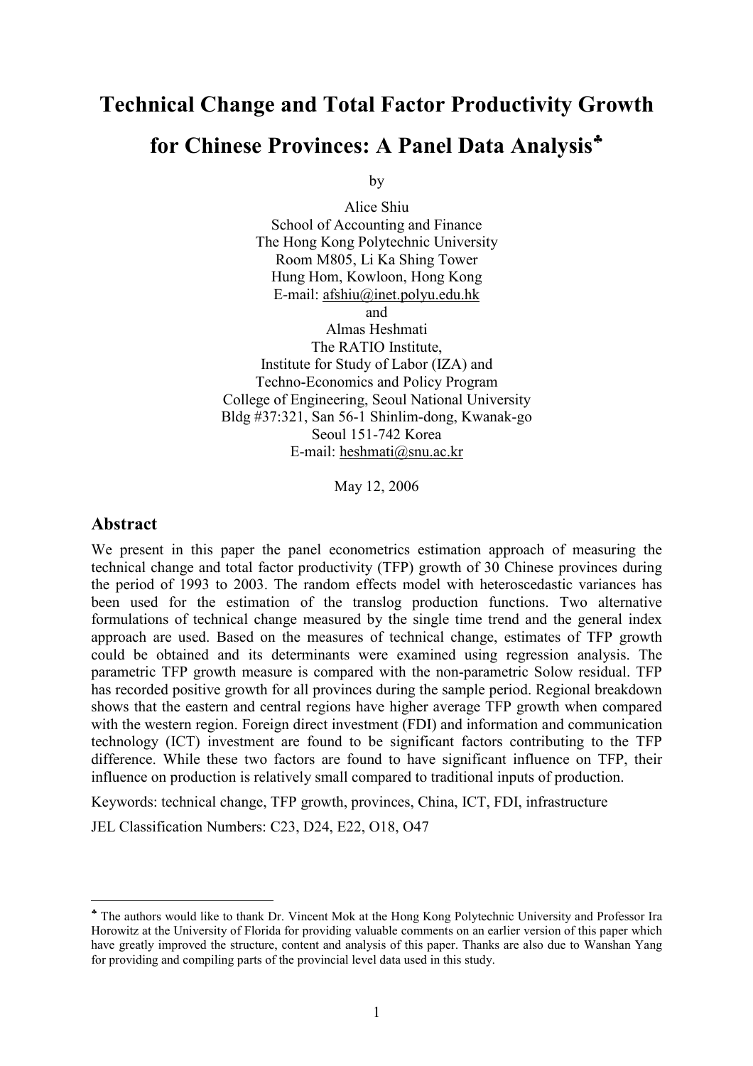# Technical Change and Total Factor Productivity Growth for Chinese Provinces: A Panel Data Analysis<sup>\*</sup>

by

Alice Shiu School of Accounting and Finance The Hong Kong Polytechnic University Room M805, Li Ka Shing Tower Hung Hom, Kowloon, Hong Kong E-mail: afshiu@inet.polyu.edu.hk and Almas Heshmati The RATIO Institute, Institute for Study of Labor (IZA) and Techno-Economics and Policy Program College of Engineering, Seoul National University Bldg #37:321, San 56-1 Shinlim-dong, Kwanak-go Seoul 151-742 Korea E-mail: heshmati@snu.ac.kr

May 12, 2006

# Abstract

 $\overline{a}$ 

We present in this paper the panel econometrics estimation approach of measuring the technical change and total factor productivity (TFP) growth of 30 Chinese provinces during the period of 1993 to 2003. The random effects model with heteroscedastic variances has been used for the estimation of the translog production functions. Two alternative formulations of technical change measured by the single time trend and the general index approach are used. Based on the measures of technical change, estimates of TFP growth could be obtained and its determinants were examined using regression analysis. The parametric TFP growth measure is compared with the non-parametric Solow residual. TFP has recorded positive growth for all provinces during the sample period. Regional breakdown shows that the eastern and central regions have higher average TFP growth when compared with the western region. Foreign direct investment (FDI) and information and communication technology (ICT) investment are found to be significant factors contributing to the TFP difference. While these two factors are found to have significant influence on TFP, their influence on production is relatively small compared to traditional inputs of production.

Keywords: technical change, TFP growth, provinces, China, ICT, FDI, infrastructure

JEL Classification Numbers: C23, D24, E22, O18, O47

<sup>♣</sup> The authors would like to thank Dr. Vincent Mok at the Hong Kong Polytechnic University and Professor Ira Horowitz at the University of Florida for providing valuable comments on an earlier version of this paper which have greatly improved the structure, content and analysis of this paper. Thanks are also due to Wanshan Yang for providing and compiling parts of the provincial level data used in this study.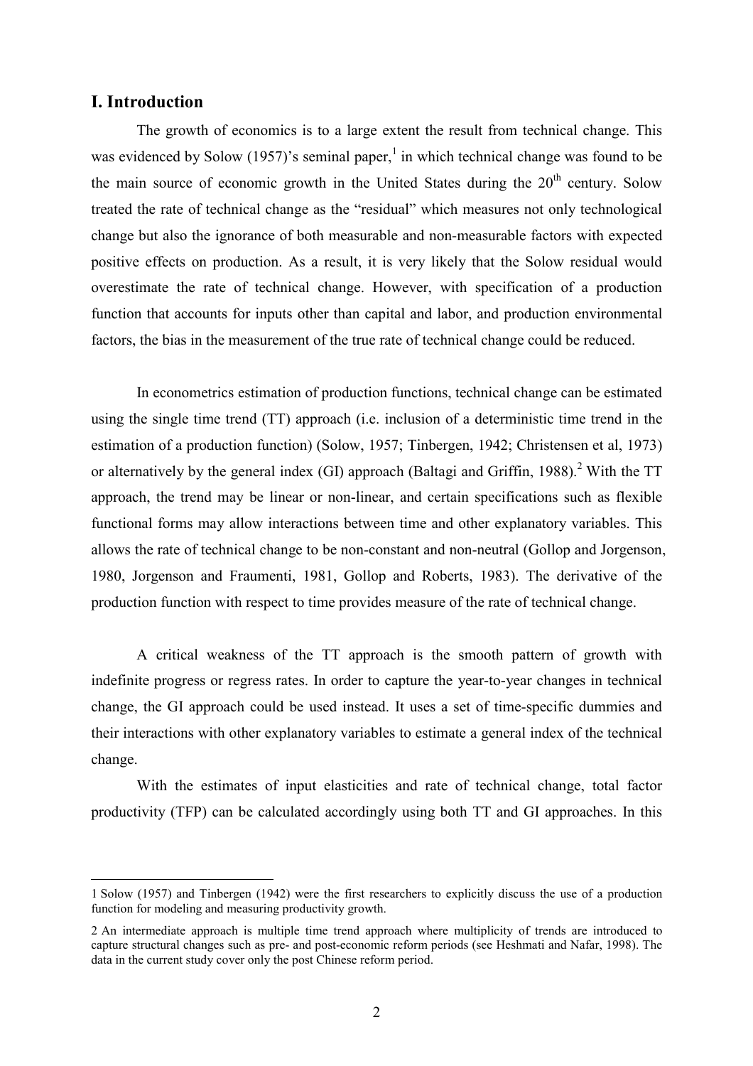### I. Introduction

 $\overline{a}$ 

 The growth of economics is to a large extent the result from technical change. This was evidenced by Solow (1957)'s seminal paper,<sup>1</sup> in which technical change was found to be the main source of economic growth in the United States during the  $20<sup>th</sup>$  century. Solow treated the rate of technical change as the "residual" which measures not only technological change but also the ignorance of both measurable and non-measurable factors with expected positive effects on production. As a result, it is very likely that the Solow residual would overestimate the rate of technical change. However, with specification of a production function that accounts for inputs other than capital and labor, and production environmental factors, the bias in the measurement of the true rate of technical change could be reduced.

 In econometrics estimation of production functions, technical change can be estimated using the single time trend (TT) approach (i.e. inclusion of a deterministic time trend in the estimation of a production function) (Solow, 1957; Tinbergen, 1942; Christensen et al, 1973) or alternatively by the general index (GI) approach (Baltagi and Griffin, 1988).<sup>2</sup> With the TT approach, the trend may be linear or non-linear, and certain specifications such as flexible functional forms may allow interactions between time and other explanatory variables. This allows the rate of technical change to be non-constant and non-neutral (Gollop and Jorgenson, 1980, Jorgenson and Fraumenti, 1981, Gollop and Roberts, 1983). The derivative of the production function with respect to time provides measure of the rate of technical change.

 A critical weakness of the TT approach is the smooth pattern of growth with indefinite progress or regress rates. In order to capture the year-to-year changes in technical change, the GI approach could be used instead. It uses a set of time-specific dummies and their interactions with other explanatory variables to estimate a general index of the technical change.

 With the estimates of input elasticities and rate of technical change, total factor productivity (TFP) can be calculated accordingly using both TT and GI approaches. In this

<sup>1</sup> Solow (1957) and Tinbergen (1942) were the first researchers to explicitly discuss the use of a production function for modeling and measuring productivity growth.

<sup>2</sup> An intermediate approach is multiple time trend approach where multiplicity of trends are introduced to capture structural changes such as pre- and post-economic reform periods (see Heshmati and Nafar, 1998). The data in the current study cover only the post Chinese reform period.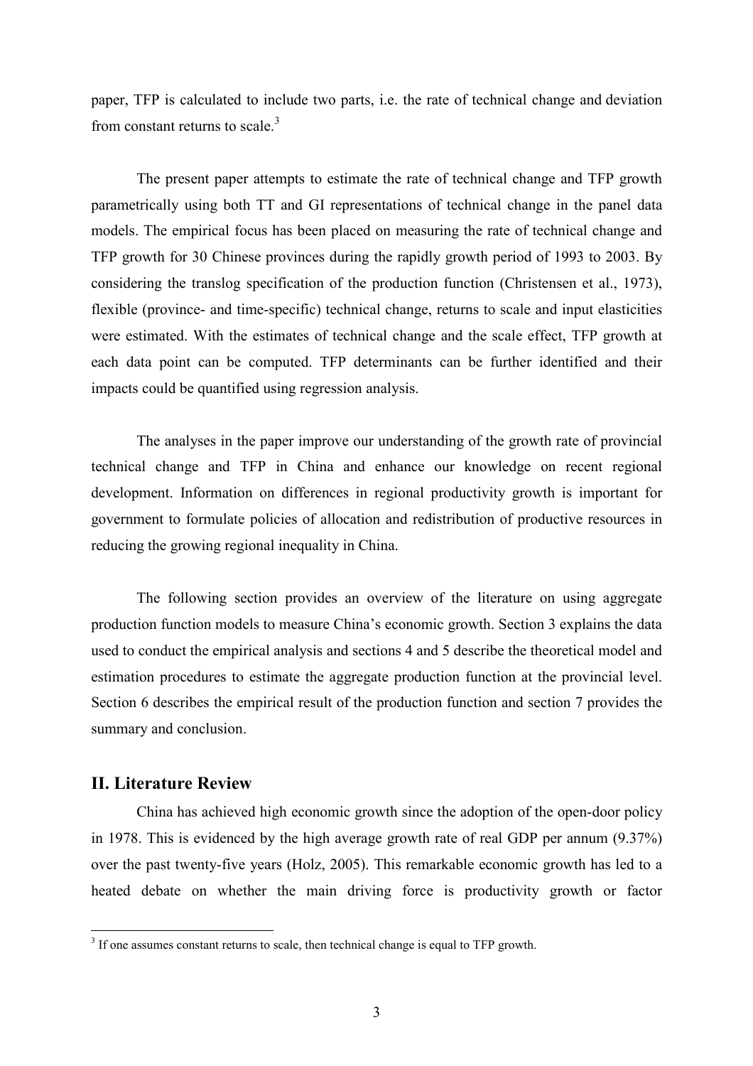paper, TFP is calculated to include two parts, i.e. the rate of technical change and deviation from constant returns to scale. $3$ 

 The present paper attempts to estimate the rate of technical change and TFP growth parametrically using both TT and GI representations of technical change in the panel data models. The empirical focus has been placed on measuring the rate of technical change and TFP growth for 30 Chinese provinces during the rapidly growth period of 1993 to 2003. By considering the translog specification of the production function (Christensen et al., 1973), flexible (province- and time-specific) technical change, returns to scale and input elasticities were estimated. With the estimates of technical change and the scale effect, TFP growth at each data point can be computed. TFP determinants can be further identified and their impacts could be quantified using regression analysis.

 The analyses in the paper improve our understanding of the growth rate of provincial technical change and TFP in China and enhance our knowledge on recent regional development. Information on differences in regional productivity growth is important for government to formulate policies of allocation and redistribution of productive resources in reducing the growing regional inequality in China.

 The following section provides an overview of the literature on using aggregate production function models to measure China's economic growth. Section 3 explains the data used to conduct the empirical analysis and sections 4 and 5 describe the theoretical model and estimation procedures to estimate the aggregate production function at the provincial level. Section 6 describes the empirical result of the production function and section 7 provides the summary and conclusion.

# II. Literature Review

 China has achieved high economic growth since the adoption of the open-door policy in 1978. This is evidenced by the high average growth rate of real GDP per annum (9.37%) over the past twenty-five years (Holz, 2005). This remarkable economic growth has led to a heated debate on whether the main driving force is productivity growth or factor

<sup>&</sup>lt;sup>3</sup> If one assumes constant returns to scale, then technical change is equal to TFP growth.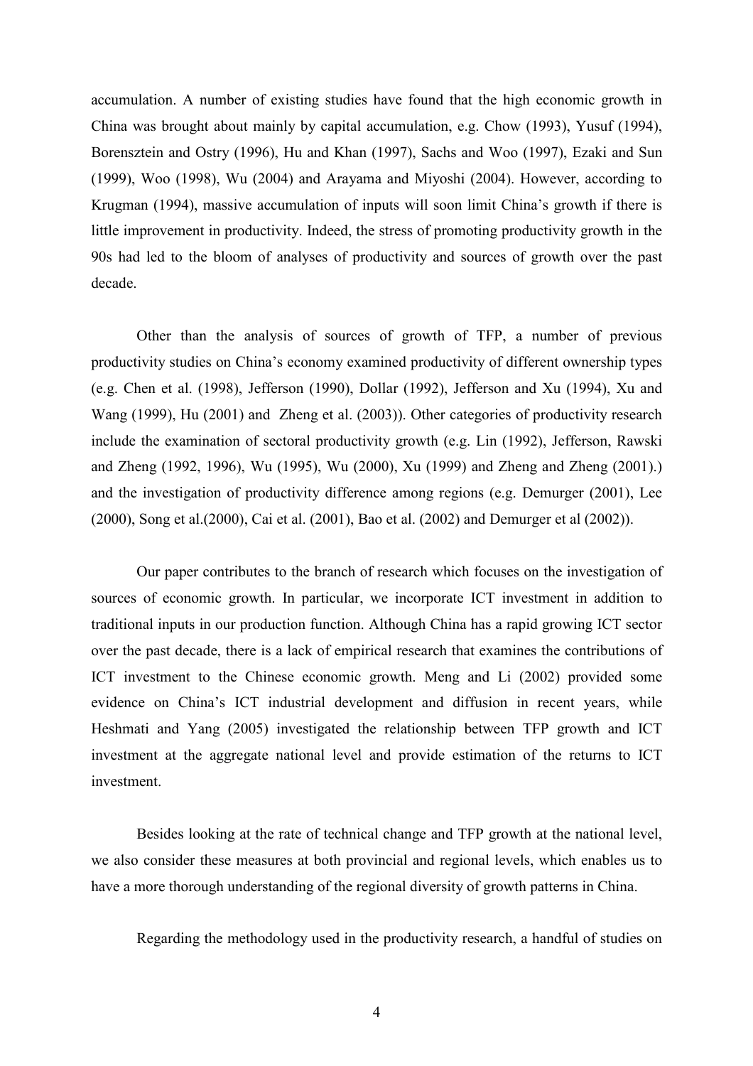accumulation. A number of existing studies have found that the high economic growth in China was brought about mainly by capital accumulation, e.g. Chow (1993), Yusuf (1994), Borensztein and Ostry (1996), Hu and Khan (1997), Sachs and Woo (1997), Ezaki and Sun (1999), Woo (1998), Wu (2004) and Arayama and Miyoshi (2004). However, according to Krugman (1994), massive accumulation of inputs will soon limit China's growth if there is little improvement in productivity. Indeed, the stress of promoting productivity growth in the 90s had led to the bloom of analyses of productivity and sources of growth over the past decade.

 Other than the analysis of sources of growth of TFP, a number of previous productivity studies on China's economy examined productivity of different ownership types (e.g. Chen et al. (1998), Jefferson (1990), Dollar (1992), Jefferson and Xu (1994), Xu and Wang (1999), Hu (2001) and Zheng et al. (2003)). Other categories of productivity research include the examination of sectoral productivity growth (e.g. Lin (1992), Jefferson, Rawski and Zheng (1992, 1996), Wu (1995), Wu (2000), Xu (1999) and Zheng and Zheng (2001).) and the investigation of productivity difference among regions (e.g. Demurger (2001), Lee (2000), Song et al.(2000), Cai et al. (2001), Bao et al. (2002) and Demurger et al (2002)).

 Our paper contributes to the branch of research which focuses on the investigation of sources of economic growth. In particular, we incorporate ICT investment in addition to traditional inputs in our production function. Although China has a rapid growing ICT sector over the past decade, there is a lack of empirical research that examines the contributions of ICT investment to the Chinese economic growth. Meng and Li (2002) provided some evidence on China's ICT industrial development and diffusion in recent years, while Heshmati and Yang (2005) investigated the relationship between TFP growth and ICT investment at the aggregate national level and provide estimation of the returns to ICT investment.

 Besides looking at the rate of technical change and TFP growth at the national level, we also consider these measures at both provincial and regional levels, which enables us to have a more thorough understanding of the regional diversity of growth patterns in China.

Regarding the methodology used in the productivity research, a handful of studies on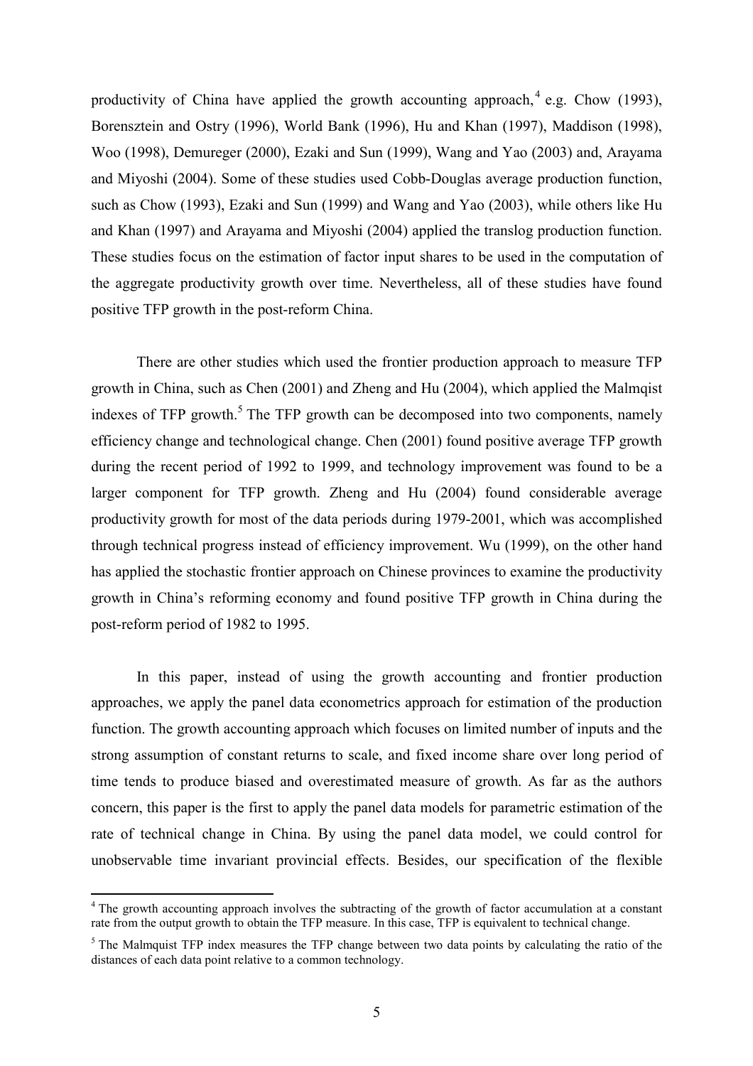productivity of China have applied the growth accounting approach,  $4$  e.g. Chow (1993), Borensztein and Ostry (1996), World Bank (1996), Hu and Khan (1997), Maddison (1998), Woo (1998), Demureger (2000), Ezaki and Sun (1999), Wang and Yao (2003) and, Arayama and Miyoshi (2004). Some of these studies used Cobb-Douglas average production function, such as Chow (1993), Ezaki and Sun (1999) and Wang and Yao (2003), while others like Hu and Khan (1997) and Arayama and Miyoshi (2004) applied the translog production function. These studies focus on the estimation of factor input shares to be used in the computation of the aggregate productivity growth over time. Nevertheless, all of these studies have found positive TFP growth in the post-reform China.

 There are other studies which used the frontier production approach to measure TFP growth in China, such as Chen (2001) and Zheng and Hu (2004), which applied the Malmqist indexes of TFP growth.<sup>5</sup> The TFP growth can be decomposed into two components, namely efficiency change and technological change. Chen (2001) found positive average TFP growth during the recent period of 1992 to 1999, and technology improvement was found to be a larger component for TFP growth. Zheng and Hu (2004) found considerable average productivity growth for most of the data periods during 1979-2001, which was accomplished through technical progress instead of efficiency improvement. Wu (1999), on the other hand has applied the stochastic frontier approach on Chinese provinces to examine the productivity growth in China's reforming economy and found positive TFP growth in China during the post-reform period of 1982 to 1995.

 In this paper, instead of using the growth accounting and frontier production approaches, we apply the panel data econometrics approach for estimation of the production function. The growth accounting approach which focuses on limited number of inputs and the strong assumption of constant returns to scale, and fixed income share over long period of time tends to produce biased and overestimated measure of growth. As far as the authors concern, this paper is the first to apply the panel data models for parametric estimation of the rate of technical change in China. By using the panel data model, we could control for unobservable time invariant provincial effects. Besides, our specification of the flexible

 $\overline{a}$ 

<sup>&</sup>lt;sup>4</sup> The growth accounting approach involves the subtracting of the growth of factor accumulation at a constant rate from the output growth to obtain the TFP measure. In this case, TFP is equivalent to technical change.

<sup>&</sup>lt;sup>5</sup> The Malmquist TFP index measures the TFP change between two data points by calculating the ratio of the distances of each data point relative to a common technology.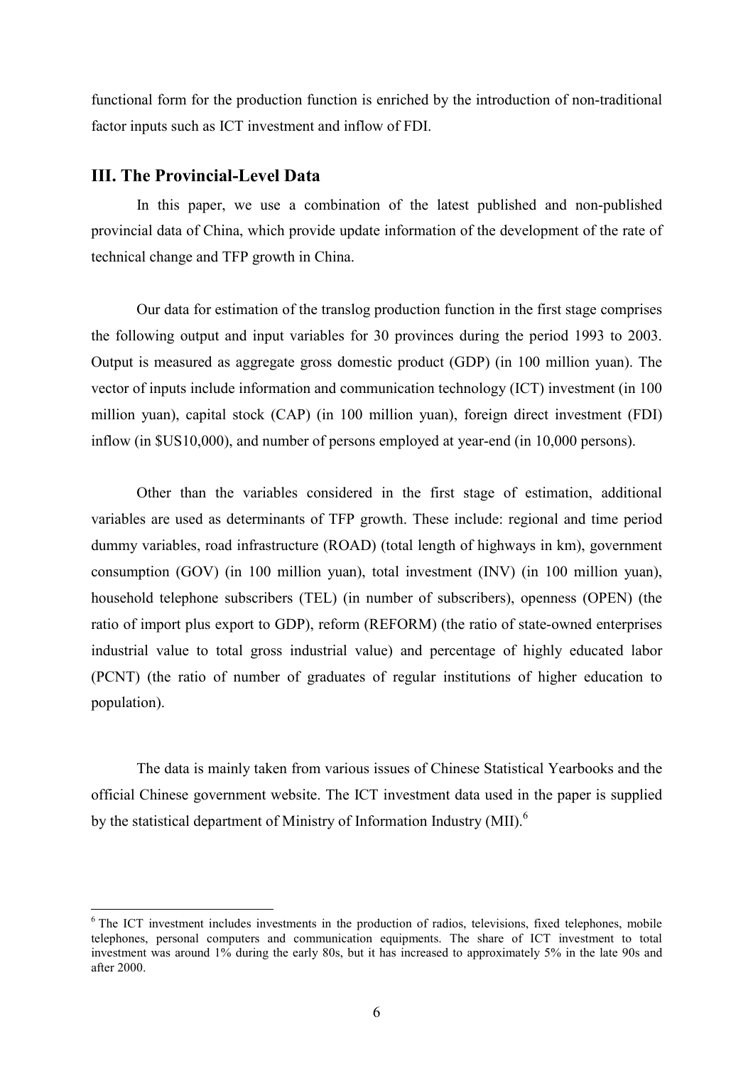functional form for the production function is enriched by the introduction of non-traditional factor inputs such as ICT investment and inflow of FDI.

## III. The Provincial-Level Data

 In this paper, we use a combination of the latest published and non-published provincial data of China, which provide update information of the development of the rate of technical change and TFP growth in China.

 Our data for estimation of the translog production function in the first stage comprises the following output and input variables for 30 provinces during the period 1993 to 2003. Output is measured as aggregate gross domestic product (GDP) (in 100 million yuan). The vector of inputs include information and communication technology (ICT) investment (in 100 million yuan), capital stock (CAP) (in 100 million yuan), foreign direct investment (FDI) inflow (in \$US10,000), and number of persons employed at year-end (in 10,000 persons).

 Other than the variables considered in the first stage of estimation, additional variables are used as determinants of TFP growth. These include: regional and time period dummy variables, road infrastructure (ROAD) (total length of highways in km), government consumption (GOV) (in 100 million yuan), total investment (INV) (in 100 million yuan), household telephone subscribers (TEL) (in number of subscribers), openness (OPEN) (the ratio of import plus export to GDP), reform (REFORM) (the ratio of state-owned enterprises industrial value to total gross industrial value) and percentage of highly educated labor (PCNT) (the ratio of number of graduates of regular institutions of higher education to population).

The data is mainly taken from various issues of Chinese Statistical Yearbooks and the official Chinese government website. The ICT investment data used in the paper is supplied by the statistical department of Ministry of Information Industry (MII).<sup>6</sup>

<sup>&</sup>lt;sup>6</sup> The ICT investment includes investments in the production of radios, televisions, fixed telephones, mobile telephones, personal computers and communication equipments. The share of ICT investment to total investment was around 1% during the early 80s, but it has increased to approximately 5% in the late 90s and after 2000.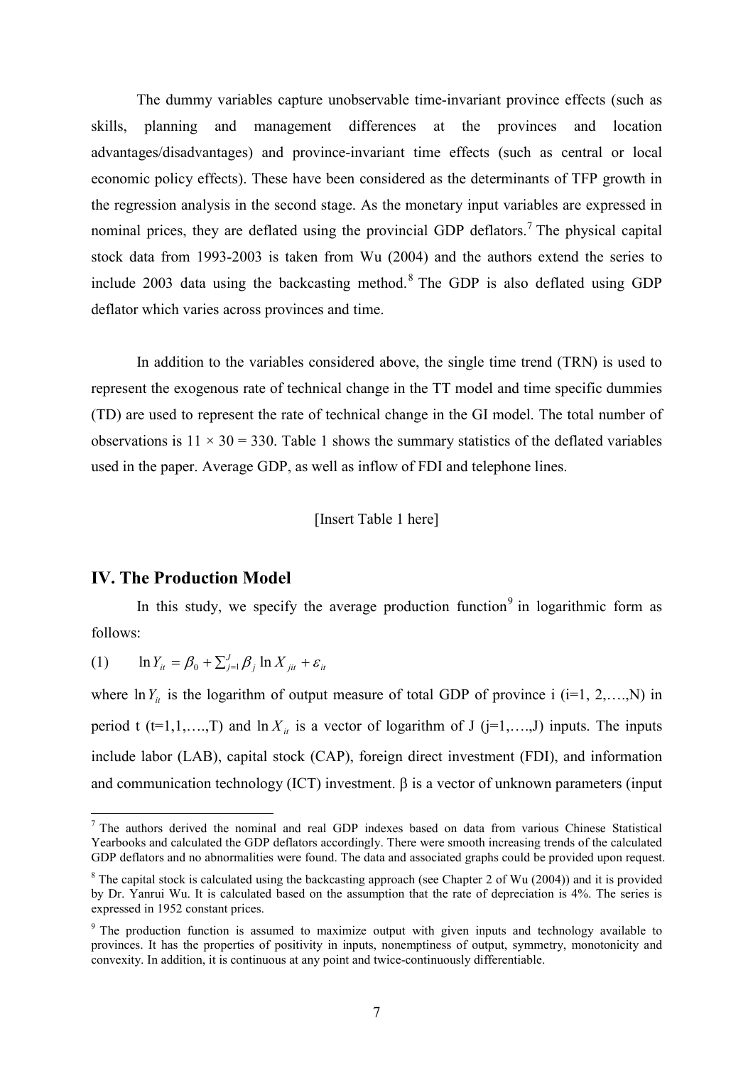The dummy variables capture unobservable time-invariant province effects (such as skills, planning and management differences at the provinces and location advantages/disadvantages) and province-invariant time effects (such as central or local economic policy effects). These have been considered as the determinants of TFP growth in the regression analysis in the second stage. As the monetary input variables are expressed in nominal prices, they are deflated using the provincial GDP deflators.<sup>7</sup> The physical capital stock data from 1993-2003 is taken from Wu (2004) and the authors extend the series to include 2003 data using the backcasting method. $8$  The GDP is also deflated using GDP deflator which varies across provinces and time.

 In addition to the variables considered above, the single time trend (TRN) is used to represent the exogenous rate of technical change in the TT model and time specific dummies (TD) are used to represent the rate of technical change in the GI model. The total number of observations is  $11 \times 30 = 330$ . Table 1 shows the summary statistics of the deflated variables used in the paper. Average GDP, as well as inflow of FDI and telephone lines.

[Insert Table 1 here]

## IV. The Production Model

 $\overline{a}$ 

In this study, we specify the average production function<sup>9</sup> in logarithmic form as follows:

(1)  $\ln Y_{it} = \beta_0 + \sum_{j=1}^{J} \beta_j \ln X_{jit} + \varepsilon_{it}$ 

where  $\ln Y_i$  is the logarithm of output measure of total GDP of province i (i=1, 2,….,N) in period t (t=1,1,…,T) and  $\ln X_i$  is a vector of logarithm of J (j=1,…,J) inputs. The inputs include labor (LAB), capital stock (CAP), foreign direct investment (FDI), and information and communication technology (ICT) investment.  $\beta$  is a vector of unknown parameters (input

<sup>&</sup>lt;sup>7</sup> The authors derived the nominal and real GDP indexes based on data from various Chinese Statistical Yearbooks and calculated the GDP deflators accordingly. There were smooth increasing trends of the calculated GDP deflators and no abnormalities were found. The data and associated graphs could be provided upon request.

<sup>&</sup>lt;sup>8</sup> The capital stock is calculated using the backcasting approach (see Chapter 2 of Wu (2004)) and it is provided by Dr. Yanrui Wu. It is calculated based on the assumption that the rate of depreciation is 4%. The series is expressed in 1952 constant prices.

<sup>&</sup>lt;sup>9</sup> The production function is assumed to maximize output with given inputs and technology available to provinces. It has the properties of positivity in inputs, nonemptiness of output, symmetry, monotonicity and convexity. In addition, it is continuous at any point and twice-continuously differentiable.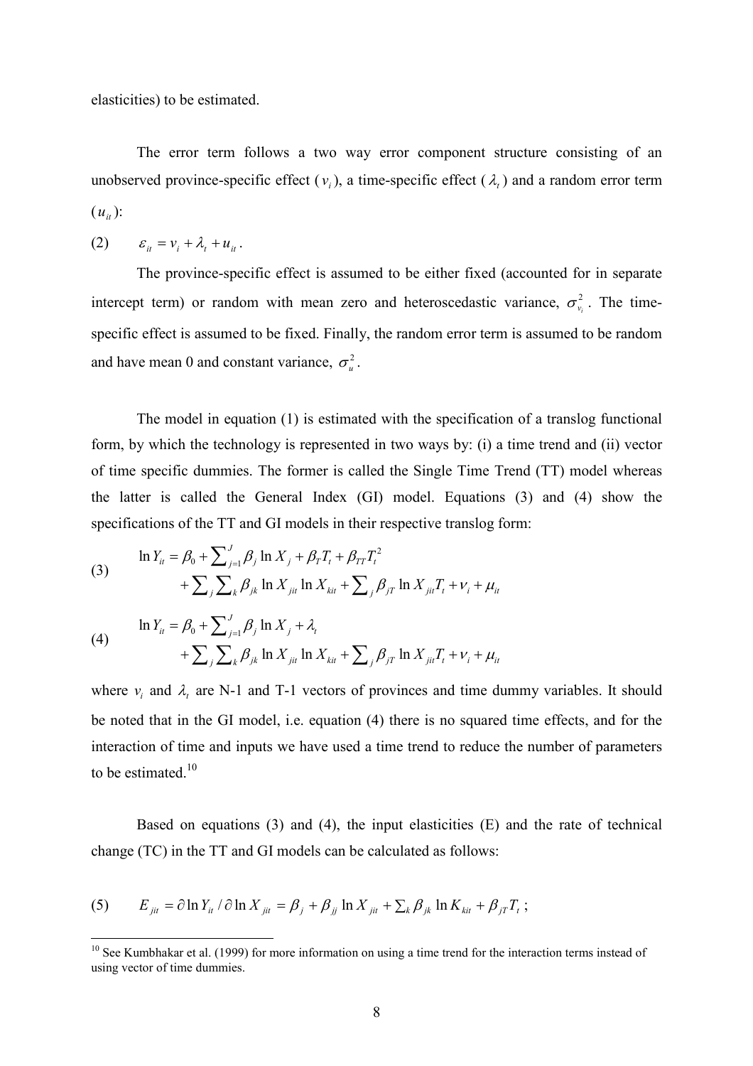elasticities) to be estimated.

 The error term follows a two way error component structure consisting of an unobserved province-specific effect  $(v_i)$ , a time-specific effect  $(\lambda_i)$  and a random error term  $(u_{it})$ :

$$
(2) \qquad \varepsilon_{it} = v_i + \lambda_t + u_{it} \, .
$$

 $\overline{a}$ 

 The province-specific effect is assumed to be either fixed (accounted for in separate intercept term) or random with mean zero and heteroscedastic variance,  $\sigma_{v_i}^2$ . The timespecific effect is assumed to be fixed. Finally, the random error term is assumed to be random and have mean 0 and constant variance,  $\sigma_u^2$ .

 The model in equation (1) is estimated with the specification of a translog functional form, by which the technology is represented in two ways by: (i) a time trend and (ii) vector of time specific dummies. The former is called the Single Time Trend (TT) model whereas the latter is called the General Index (GI) model. Equations (3) and (4) show the specifications of the TT and GI models in their respective translog form:

(3) 
$$
\ln Y_{it} = \beta_0 + \sum_{j=1}^{J} \beta_j \ln X_j + \beta_T T_t + \beta_{TT} T_t^2 + \sum_{j} \sum_{k} \beta_{jk} \ln X_{jit} \ln X_{kit} + \sum_{j} \beta_{jT} \ln X_{jit} T_t + v_i + \mu_{it}
$$

(4) 
$$
\ln Y_{it} = \beta_0 + \sum_{j=1}^{J} \beta_j \ln X_j + \lambda_t + \sum_{j} \sum_{k} \beta_{jk} \ln X_{jit} \ln X_{kit} + \sum_{j} \beta_{jT} \ln X_{jit} T_t + v_i + \mu_{it}
$$

where  $v_i$  and  $\lambda_i$  are N-1 and T-1 vectors of provinces and time dummy variables. It should be noted that in the GI model, i.e. equation (4) there is no squared time effects, and for the interaction of time and inputs we have used a time trend to reduce the number of parameters to be estimated. $10$ 

Based on equations (3) and (4), the input elasticities  $(E)$  and the rate of technical change (TC) in the TT and GI models can be calculated as follows:

(5) 
$$
E_{jit} = \partial \ln Y_{it} / \partial \ln X_{jit} = \beta_j + \beta_{jj} \ln X_{jit} + \sum_k \beta_{jk} \ln K_{kit} + \beta_{jT} T_t ;
$$

<sup>&</sup>lt;sup>10</sup> See Kumbhakar et al. (1999) for more information on using a time trend for the interaction terms instead of using vector of time dummies.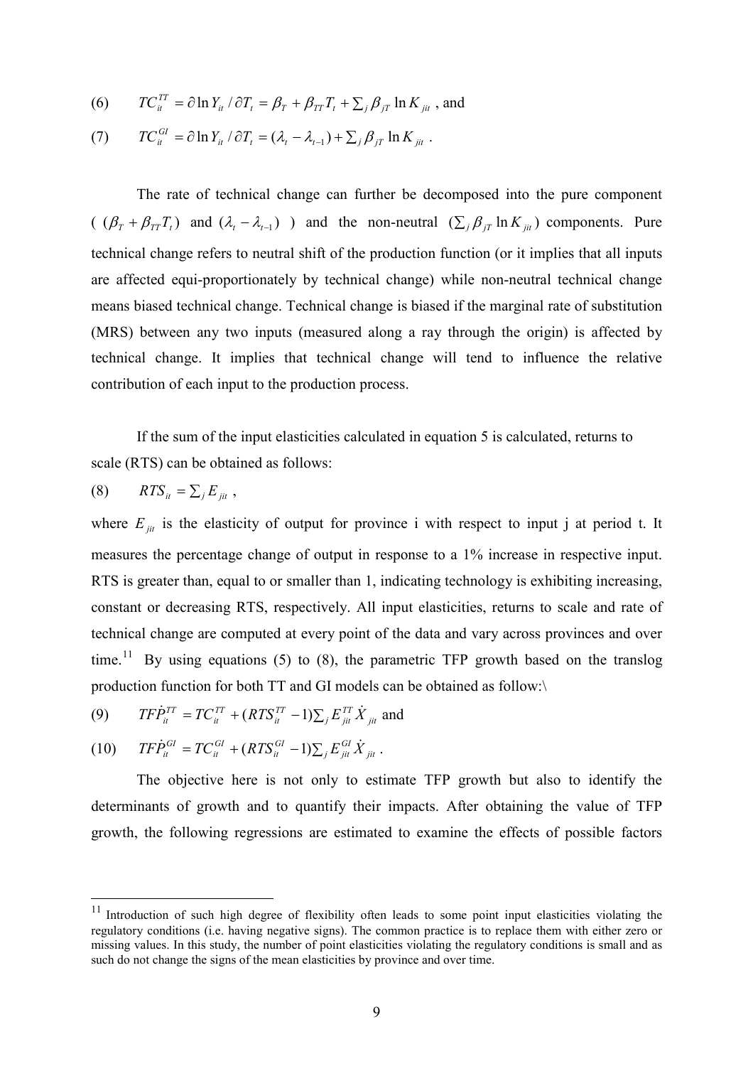(6) 
$$
TC_{it}^{TT} = \partial \ln Y_{it} / \partial T_t = \beta_T + \beta_{TT} T_t + \sum_j \beta_{jT} \ln K_{jit}
$$
, and

(7) 
$$
TC_{it}^{GI} = \partial \ln Y_{it} / \partial T_t = (\lambda_t - \lambda_{t-1}) + \sum_j \beta_{jT} \ln K_{jit}.
$$

 The rate of technical change can further be decomposed into the pure component  $((\beta_T + \beta_{TT}T_t)$  and  $(\lambda_t - \lambda_{t-1})$  and the non-neutral  $(\sum_j \beta_{jT} \ln K_{jit})$  components. Pure technical change refers to neutral shift of the production function (or it implies that all inputs are affected equi-proportionately by technical change) while non-neutral technical change means biased technical change. Technical change is biased if the marginal rate of substitution (MRS) between any two inputs (measured along a ray through the origin) is affected by technical change. It implies that technical change will tend to influence the relative contribution of each input to the production process.

 If the sum of the input elasticities calculated in equation 5 is calculated, returns to scale (RTS) can be obtained as follows:

$$
(8) \qquad RTS_{it} = \sum_j E_{jit} ,
$$

 $\overline{a}$ 

where  $E_{ji}$  is the elasticity of output for province i with respect to input j at period t. It measures the percentage change of output in response to a 1% increase in respective input. RTS is greater than, equal to or smaller than 1, indicating technology is exhibiting increasing, constant or decreasing RTS, respectively. All input elasticities, returns to scale and rate of technical change are computed at every point of the data and vary across provinces and over time.<sup>11</sup> By using equations (5) to (8), the parametric TFP growth based on the translog production function for both TT and GI models can be obtained as follow:\

(9) 
$$
TF\dot{P}_{it}^{TT} = TC_{it}^{TT} + (RTS_{it}^{TT} - 1)\sum_{j} E_{jit}^{TT} \dot{X}_{jit}
$$
 and

$$
(10) \tTF\dot{P}_{it}^{GI} = TC_{it}^{GI} + (RTS_{it}^{GI} - 1)\sum_j E_{jit}^{GI} \dot{X}_{jit}.
$$

 The objective here is not only to estimate TFP growth but also to identify the determinants of growth and to quantify their impacts. After obtaining the value of TFP growth, the following regressions are estimated to examine the effects of possible factors

 $11$  Introduction of such high degree of flexibility often leads to some point input elasticities violating the regulatory conditions (i.e. having negative signs). The common practice is to replace them with either zero or missing values. In this study, the number of point elasticities violating the regulatory conditions is small and as such do not change the signs of the mean elasticities by province and over time.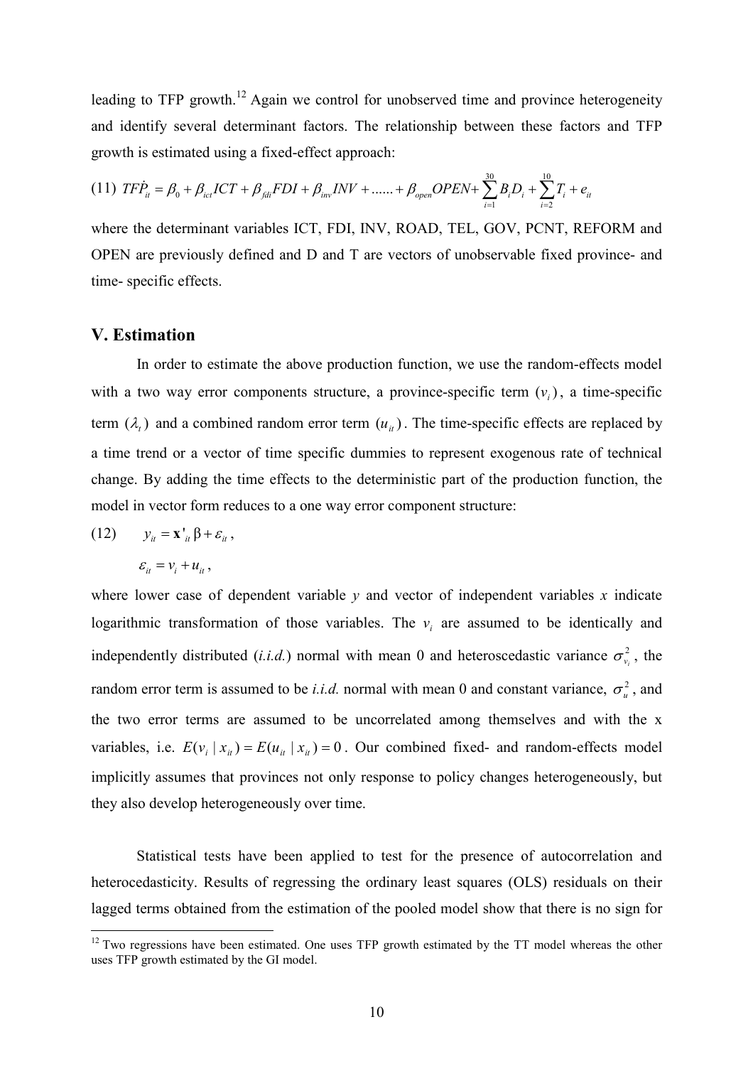leading to TFP growth.<sup>12</sup> Again we control for unobserved time and province heterogeneity and identify several determinant factors. The relationship between these factors and TFP growth is estimated using a fixed-effect approach:

$$
(11) T F \dot{P}_{it} = \beta_0 + \beta_{ict} I C T + \beta_{fdi} F D I + \beta_{inv} INV + \dots + \beta_{open} O P E N + \sum_{i=1}^{30} B_i D_i + \sum_{i=2}^{10} T_i + e_{it}
$$

where the determinant variables ICT, FDI, INV, ROAD, TEL, GOV, PCNT, REFORM and OPEN are previously defined and D and T are vectors of unobservable fixed province- and time- specific effects.

# V. Estimation

 In order to estimate the above production function, we use the random-effects model with a two way error components structure, a province-specific term  $(v_i)$ , a time-specific term  $(\lambda_t)$  and a combined random error term  $(u_{it})$ . The time-specific effects are replaced by a time trend or a vector of time specific dummies to represent exogenous rate of technical change. By adding the time effects to the deterministic part of the production function, the model in vector form reduces to a one way error component structure:

(12) 
$$
y_{it} = \mathbf{x'}_{it} \beta + \varepsilon_{it},
$$

$$
\varepsilon_{it} = v_i + u_{it},
$$

 $\overline{a}$ 

where lower case of dependent variable  $y$  and vector of independent variables  $x$  indicate logarithmic transformation of those variables. The  $v_i$  are assumed to be identically and independently distributed (*i.i.d.*) normal with mean 0 and heteroscedastic variance  $\sigma_{v_i}^2$ , the random error term is assumed to be *i.i.d.* normal with mean 0 and constant variance,  $\sigma_u^2$ , and the two error terms are assumed to be uncorrelated among themselves and with the x variables, i.e.  $E(v_i | x_{it}) = E(u_{it} | x_{it}) = 0$ . Our combined fixed- and random-effects model implicitly assumes that provinces not only response to policy changes heterogeneously, but they also develop heterogeneously over time.

 Statistical tests have been applied to test for the presence of autocorrelation and heterocedasticity. Results of regressing the ordinary least squares (OLS) residuals on their lagged terms obtained from the estimation of the pooled model show that there is no sign for

 $12$  Two regressions have been estimated. One uses TFP growth estimated by the TT model whereas the other uses TFP growth estimated by the GI model.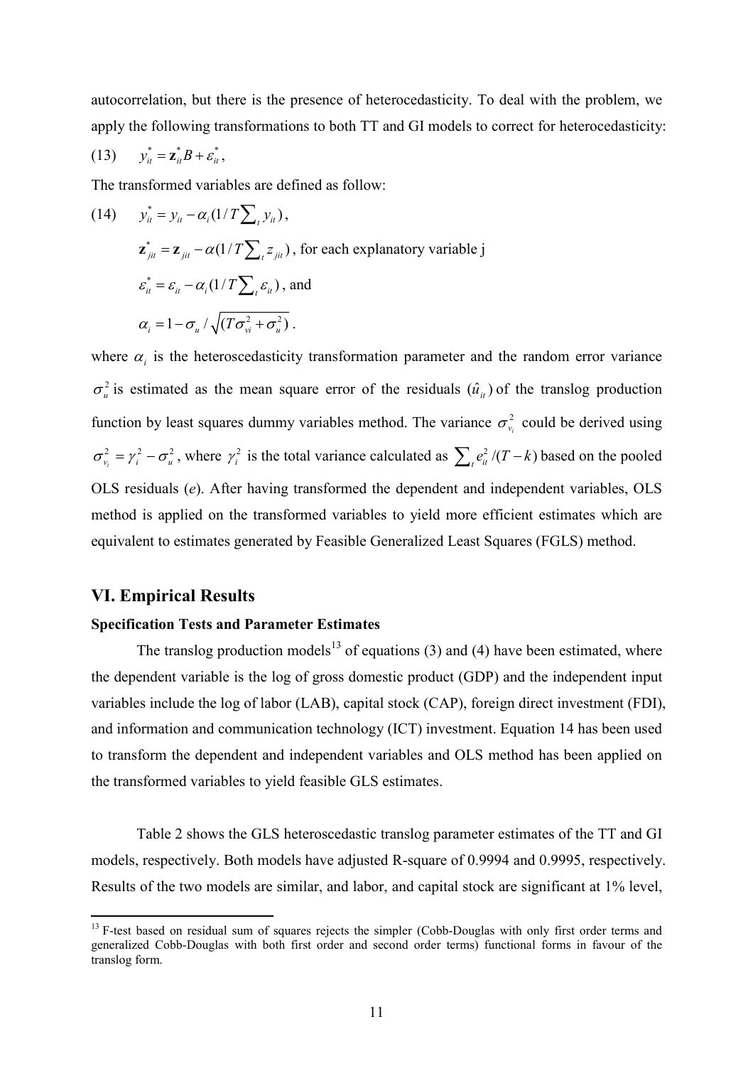autocorrelation, but there is the presence of heterocedasticity. To deal with the problem, we apply the following transformations to both TT and GI models to correct for heterocedasticity:

$$
(13) \t y_{it}^* = \mathbf{z}_{it}^* B + \varepsilon_{it}^*,
$$

The transformed variables are defined as follow:

(14) 
$$
y_{ii}^* = y_{ii} - \alpha_i (1/T \sum_i y_{ii}),
$$
  
\n $\mathbf{z}_{jii}^* = \mathbf{z}_{ji} - \alpha (1/T \sum_i z_{jii}),$  for each explanatory variable j  
\n $\varepsilon_{ii}^* = \varepsilon_{ii} - \alpha_i (1/T \sum_i \varepsilon_{ii}),$  and  
\n $\alpha_i = 1 - \sigma_u / \sqrt{(T \sigma_{vi}^2 + \sigma_u^2)}.$ 

where  $\alpha_i$  is the heteroscedasticity transformation parameter and the random error variance  $\sigma_u^2$  is estimated as the mean square error of the residuals  $(\hat{u}_u)$  of the translog production function by least squares dummy variables method. The variance  $\sigma_{v_i}^2$  could be derived using  $2 - \mu^2$   $\tau^2$  $\sigma_{v_i}^2 = \gamma_i^2 - \sigma_u^2$ , where  $\gamma_i^2$  is the total variance calculated as  $\sum_i e_i^2/(T-k)$  based on the pooled OLS residuals (e). After having transformed the dependent and independent variables, OLS method is applied on the transformed variables to yield more efficient estimates which are equivalent to estimates generated by Feasible Generalized Least Squares (FGLS) method.

#### VI. Empirical Results

 $\overline{a}$ 

# Specification Tests and Parameter Estimates

The translog production models<sup>13</sup> of equations (3) and (4) have been estimated, where the dependent variable is the log of gross domestic product (GDP) and the independent input variables include the log of labor (LAB), capital stock (CAP), foreign direct investment (FDI), and information and communication technology (ICT) investment. Equation 14 has been used to transform the dependent and independent variables and OLS method has been applied on the transformed variables to yield feasible GLS estimates.

 Table 2 shows the GLS heteroscedastic translog parameter estimates of the TT and GI models, respectively. Both models have adjusted R-square of 0.9994 and 0.9995, respectively. Results of the two models are similar, and labor, and capital stock are significant at 1% level,

<sup>&</sup>lt;sup>13</sup> F-test based on residual sum of squares rejects the simpler (Cobb-Douglas with only first order terms and generalized Cobb-Douglas with both first order and second order terms) functional forms in favour of the translog form.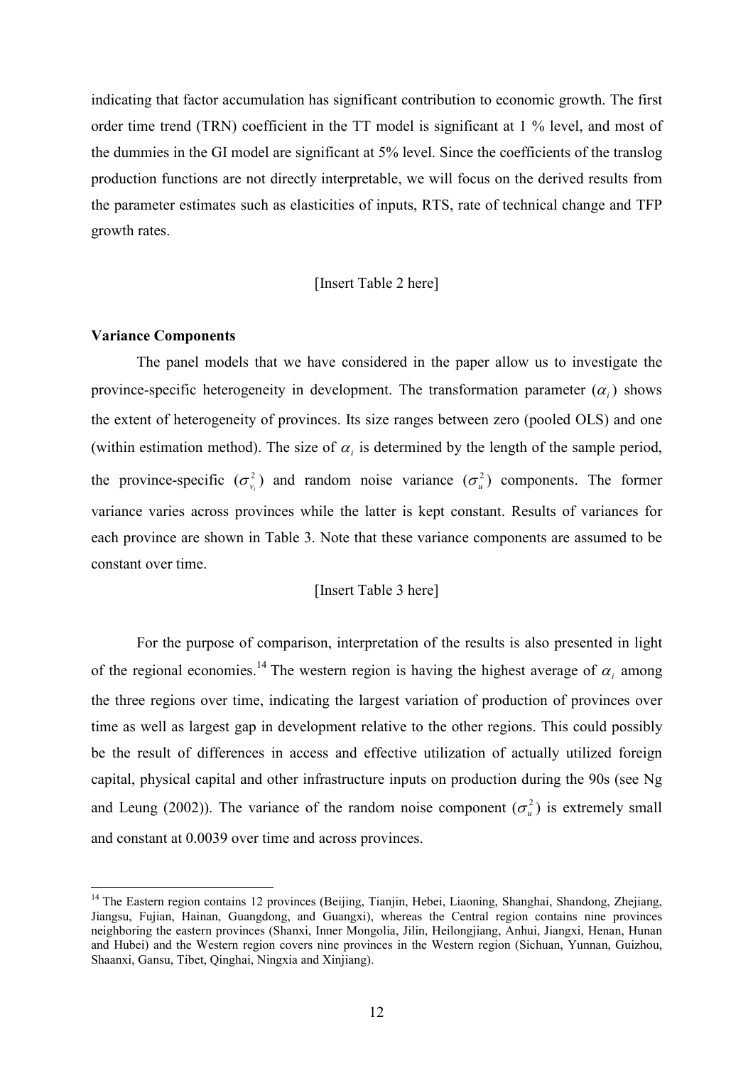indicating that factor accumulation has significant contribution to economic growth. The first order time trend (TRN) coefficient in the TT model is significant at 1 % level, and most of the dummies in the GI model are significant at 5% level. Since the coefficients of the translog production functions are not directly interpretable, we will focus on the derived results from the parameter estimates such as elasticities of inputs, RTS, rate of technical change and TFP growth rates.

#### [Insert Table 2 here]

#### Variance Components

 $\overline{a}$ 

 The panel models that we have considered in the paper allow us to investigate the province-specific heterogeneity in development. The transformation parameter  $(\alpha_i)$  shows the extent of heterogeneity of provinces. Its size ranges between zero (pooled OLS) and one (within estimation method). The size of  $\alpha_i$  is determined by the length of the sample period, the province-specific  $(\sigma_v^2)$  $\sigma_{v_i}^2$ ) and random noise variance  $(\sigma_u^2)$  components. The former variance varies across provinces while the latter is kept constant. Results of variances for each province are shown in Table 3. Note that these variance components are assumed to be constant over time.

#### [Insert Table 3 here]

 For the purpose of comparison, interpretation of the results is also presented in light of the regional economies.<sup>14</sup> The western region is having the highest average of  $\alpha_i$  among the three regions over time, indicating the largest variation of production of provinces over time as well as largest gap in development relative to the other regions. This could possibly be the result of differences in access and effective utilization of actually utilized foreign capital, physical capital and other infrastructure inputs on production during the 90s (see Ng and Leung (2002)). The variance of the random noise component  $(\sigma_u^2)$  is extremely small and constant at 0.0039 over time and across provinces.

<sup>&</sup>lt;sup>14</sup> The Eastern region contains 12 provinces (Beijing, Tianjin, Hebei, Liaoning, Shanghai, Shandong, Zhejiang, Jiangsu, Fujian, Hainan, Guangdong, and Guangxi), whereas the Central region contains nine provinces neighboring the eastern provinces (Shanxi, Inner Mongolia, Jilin, Heilongjiang, Anhui, Jiangxi, Henan, Hunan and Hubei) and the Western region covers nine provinces in the Western region (Sichuan, Yunnan, Guizhou, Shaanxi, Gansu, Tibet, Qinghai, Ningxia and Xinjiang).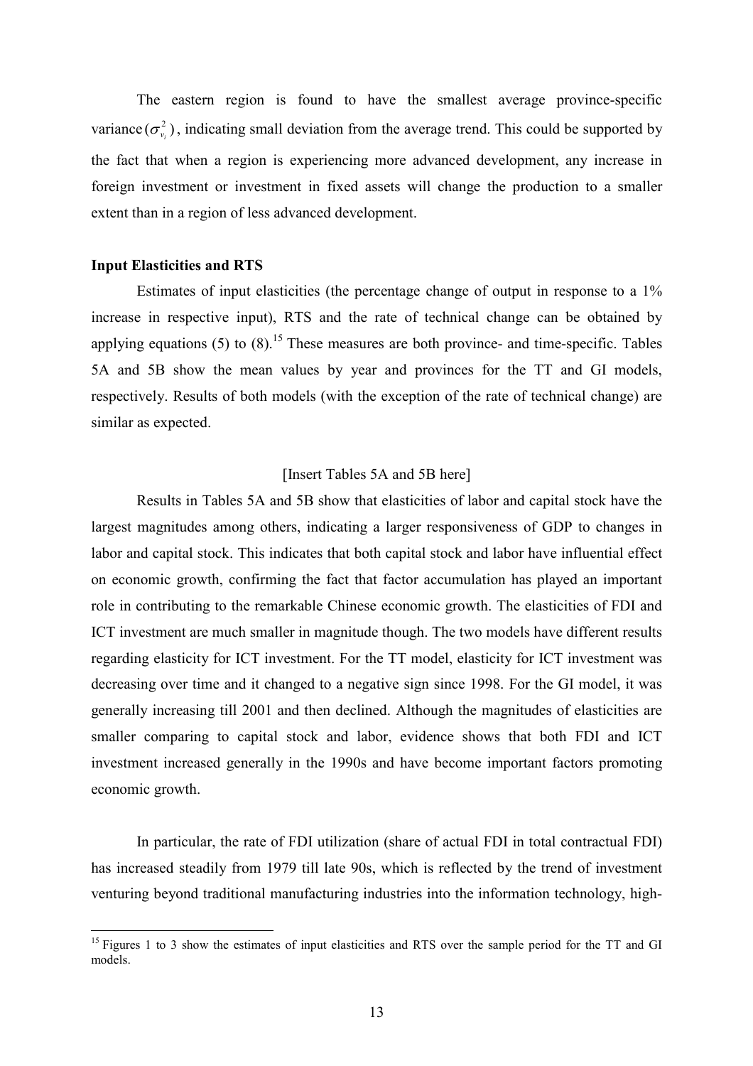The eastern region is found to have the smallest average province-specific variance  $(\sigma_{\nu}^2)$  $\sigma_{v_i}^2$ ), indicating small deviation from the average trend. This could be supported by the fact that when a region is experiencing more advanced development, any increase in foreign investment or investment in fixed assets will change the production to a smaller extent than in a region of less advanced development.

#### Input Elasticities and RTS

 $\overline{a}$ 

 Estimates of input elasticities (the percentage change of output in response to a 1% increase in respective input), RTS and the rate of technical change can be obtained by applying equations (5) to (8).<sup>15</sup> These measures are both province- and time-specific. Tables 5A and 5B show the mean values by year and provinces for the TT and GI models, respectively. Results of both models (with the exception of the rate of technical change) are similar as expected.

#### [Insert Tables 5A and 5B here]

 Results in Tables 5A and 5B show that elasticities of labor and capital stock have the largest magnitudes among others, indicating a larger responsiveness of GDP to changes in labor and capital stock. This indicates that both capital stock and labor have influential effect on economic growth, confirming the fact that factor accumulation has played an important role in contributing to the remarkable Chinese economic growth. The elasticities of FDI and ICT investment are much smaller in magnitude though. The two models have different results regarding elasticity for ICT investment. For the TT model, elasticity for ICT investment was decreasing over time and it changed to a negative sign since 1998. For the GI model, it was generally increasing till 2001 and then declined. Although the magnitudes of elasticities are smaller comparing to capital stock and labor, evidence shows that both FDI and ICT investment increased generally in the 1990s and have become important factors promoting economic growth.

 In particular, the rate of FDI utilization (share of actual FDI in total contractual FDI) has increased steadily from 1979 till late 90s, which is reflected by the trend of investment venturing beyond traditional manufacturing industries into the information technology, high-

<sup>&</sup>lt;sup>15</sup> Figures 1 to 3 show the estimates of input elasticities and RTS over the sample period for the TT and GI models.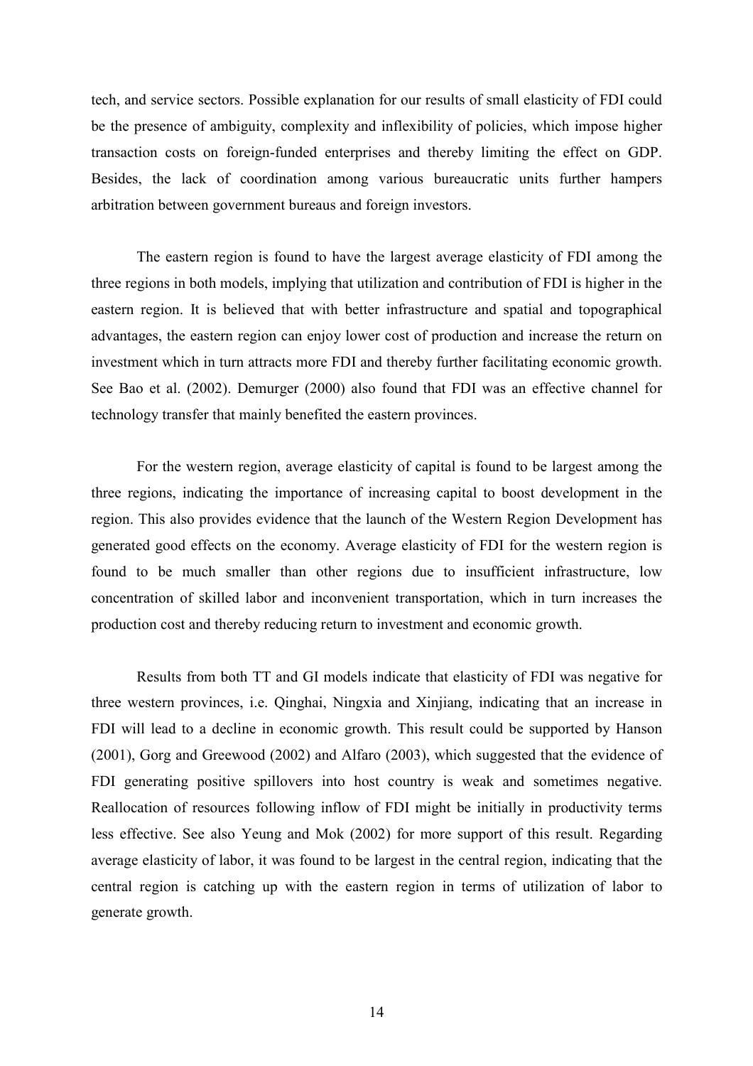tech, and service sectors. Possible explanation for our results of small elasticity of FDI could be the presence of ambiguity, complexity and inflexibility of policies, which impose higher transaction costs on foreign-funded enterprises and thereby limiting the effect on GDP. Besides, the lack of coordination among various bureaucratic units further hampers arbitration between government bureaus and foreign investors.

 The eastern region is found to have the largest average elasticity of FDI among the three regions in both models, implying that utilization and contribution of FDI is higher in the eastern region. It is believed that with better infrastructure and spatial and topographical advantages, the eastern region can enjoy lower cost of production and increase the return on investment which in turn attracts more FDI and thereby further facilitating economic growth. See Bao et al. (2002). Demurger (2000) also found that FDI was an effective channel for technology transfer that mainly benefited the eastern provinces.

 For the western region, average elasticity of capital is found to be largest among the three regions, indicating the importance of increasing capital to boost development in the region. This also provides evidence that the launch of the Western Region Development has generated good effects on the economy. Average elasticity of FDI for the western region is found to be much smaller than other regions due to insufficient infrastructure, low concentration of skilled labor and inconvenient transportation, which in turn increases the production cost and thereby reducing return to investment and economic growth.

Results from both TT and GI models indicate that elasticity of FDI was negative for three western provinces, i.e. Qinghai, Ningxia and Xinjiang, indicating that an increase in FDI will lead to a decline in economic growth. This result could be supported by Hanson (2001), Gorg and Greewood (2002) and Alfaro (2003), which suggested that the evidence of FDI generating positive spillovers into host country is weak and sometimes negative. Reallocation of resources following inflow of FDI might be initially in productivity terms less effective. See also Yeung and Mok (2002) for more support of this result. Regarding average elasticity of labor, it was found to be largest in the central region, indicating that the central region is catching up with the eastern region in terms of utilization of labor to generate growth.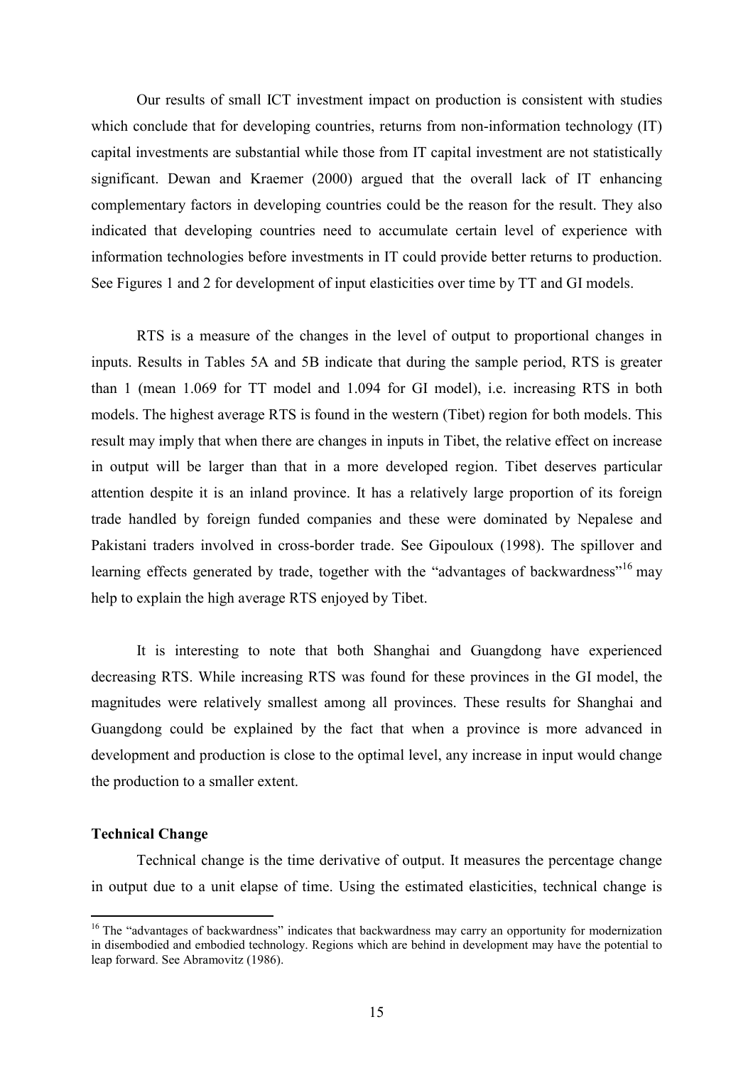Our results of small ICT investment impact on production is consistent with studies which conclude that for developing countries, returns from non-information technology (IT) capital investments are substantial while those from IT capital investment are not statistically significant. Dewan and Kraemer (2000) argued that the overall lack of IT enhancing complementary factors in developing countries could be the reason for the result. They also indicated that developing countries need to accumulate certain level of experience with information technologies before investments in IT could provide better returns to production. See Figures 1 and 2 for development of input elasticities over time by TT and GI models.

 RTS is a measure of the changes in the level of output to proportional changes in inputs. Results in Tables 5A and 5B indicate that during the sample period, RTS is greater than 1 (mean 1.069 for TT model and 1.094 for GI model), i.e. increasing RTS in both models. The highest average RTS is found in the western (Tibet) region for both models. This result may imply that when there are changes in inputs in Tibet, the relative effect on increase in output will be larger than that in a more developed region. Tibet deserves particular attention despite it is an inland province. It has a relatively large proportion of its foreign trade handled by foreign funded companies and these were dominated by Nepalese and Pakistani traders involved in cross-border trade. See Gipouloux (1998). The spillover and learning effects generated by trade, together with the "advantages of backwardness"<sup>16</sup> may help to explain the high average RTS enjoyed by Tibet.

 It is interesting to note that both Shanghai and Guangdong have experienced decreasing RTS. While increasing RTS was found for these provinces in the GI model, the magnitudes were relatively smallest among all provinces. These results for Shanghai and Guangdong could be explained by the fact that when a province is more advanced in development and production is close to the optimal level, any increase in input would change the production to a smaller extent.

#### Technical Change

 $\overline{a}$ 

 Technical change is the time derivative of output. It measures the percentage change in output due to a unit elapse of time. Using the estimated elasticities, technical change is

<sup>&</sup>lt;sup>16</sup> The "advantages of backwardness" indicates that backwardness may carry an opportunity for modernization in disembodied and embodied technology. Regions which are behind in development may have the potential to leap forward. See Abramovitz (1986).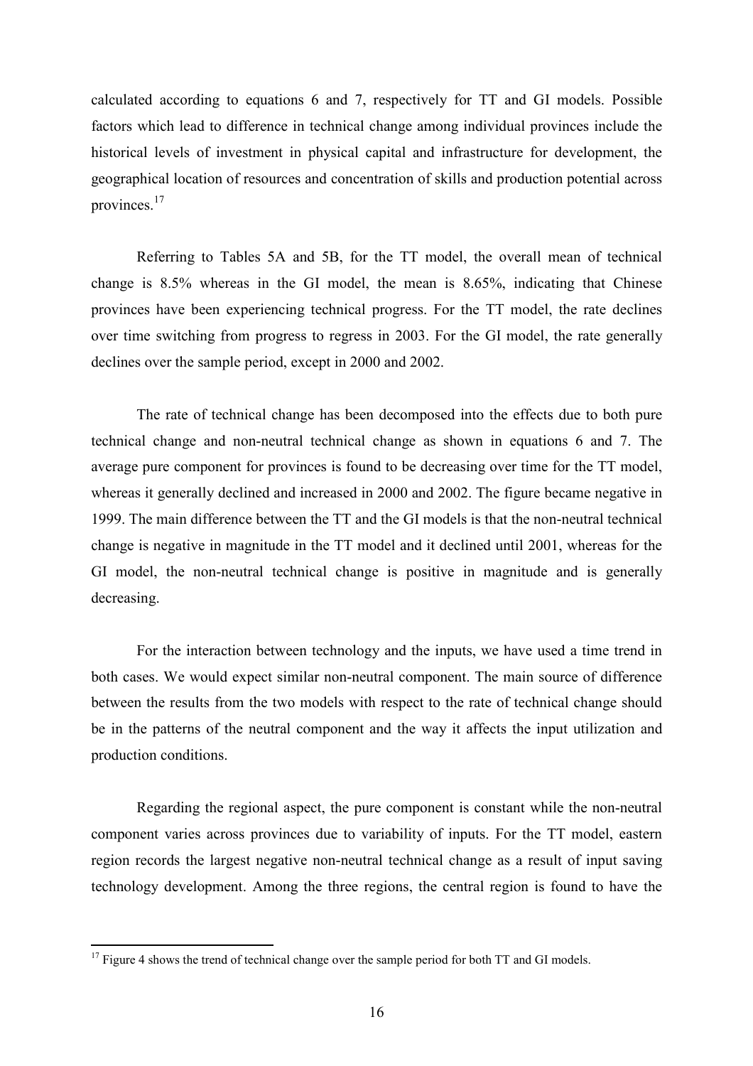calculated according to equations 6 and 7, respectively for TT and GI models. Possible factors which lead to difference in technical change among individual provinces include the historical levels of investment in physical capital and infrastructure for development, the geographical location of resources and concentration of skills and production potential across provinces.<sup>17</sup>

 Referring to Tables 5A and 5B, for the TT model, the overall mean of technical change is 8.5% whereas in the GI model, the mean is 8.65%, indicating that Chinese provinces have been experiencing technical progress. For the TT model, the rate declines over time switching from progress to regress in 2003. For the GI model, the rate generally declines over the sample period, except in 2000 and 2002.

 The rate of technical change has been decomposed into the effects due to both pure technical change and non-neutral technical change as shown in equations 6 and 7. The average pure component for provinces is found to be decreasing over time for the TT model, whereas it generally declined and increased in 2000 and 2002. The figure became negative in 1999. The main difference between the TT and the GI models is that the non-neutral technical change is negative in magnitude in the TT model and it declined until 2001, whereas for the GI model, the non-neutral technical change is positive in magnitude and is generally decreasing.

 For the interaction between technology and the inputs, we have used a time trend in both cases. We would expect similar non-neutral component. The main source of difference between the results from the two models with respect to the rate of technical change should be in the patterns of the neutral component and the way it affects the input utilization and production conditions.

 Regarding the regional aspect, the pure component is constant while the non-neutral component varies across provinces due to variability of inputs. For the TT model, eastern region records the largest negative non-neutral technical change as a result of input saving technology development. Among the three regions, the central region is found to have the

 $\overline{a}$ 

<sup>&</sup>lt;sup>17</sup> Figure 4 shows the trend of technical change over the sample period for both TT and GI models.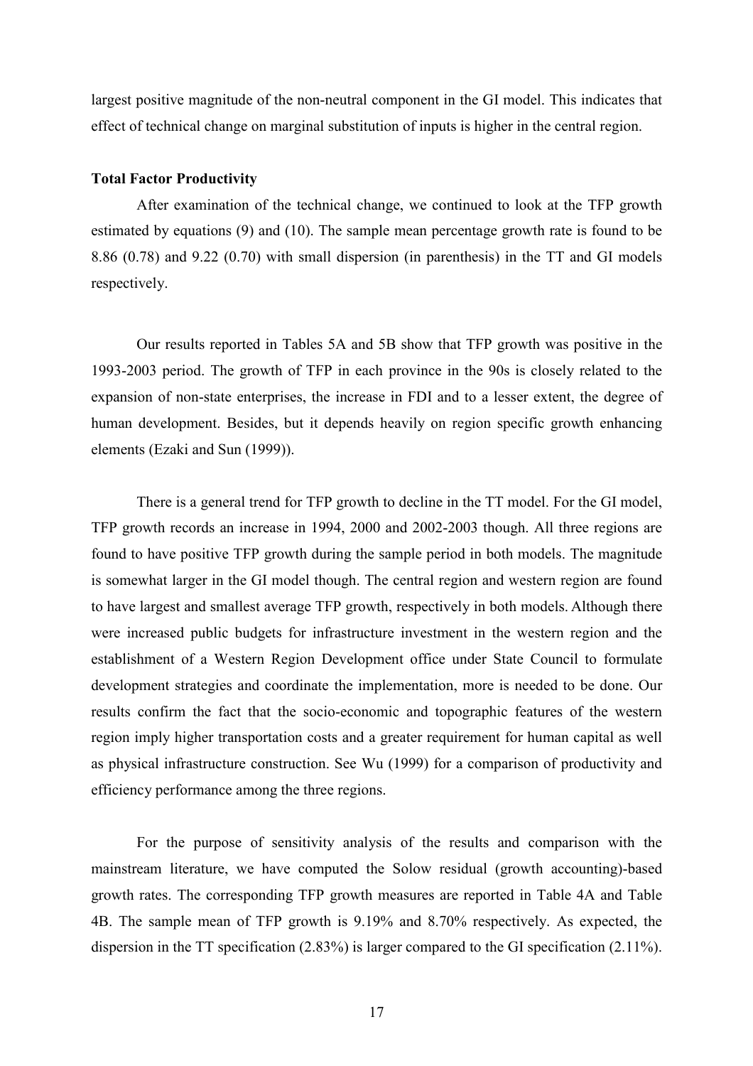largest positive magnitude of the non-neutral component in the GI model. This indicates that effect of technical change on marginal substitution of inputs is higher in the central region.

#### Total Factor Productivity

 After examination of the technical change, we continued to look at the TFP growth estimated by equations (9) and (10). The sample mean percentage growth rate is found to be 8.86 (0.78) and 9.22 (0.70) with small dispersion (in parenthesis) in the TT and GI models respectively.

 Our results reported in Tables 5A and 5B show that TFP growth was positive in the 1993-2003 period. The growth of TFP in each province in the 90s is closely related to the expansion of non-state enterprises, the increase in FDI and to a lesser extent, the degree of human development. Besides, but it depends heavily on region specific growth enhancing elements (Ezaki and Sun (1999)).

 There is a general trend for TFP growth to decline in the TT model. For the GI model, TFP growth records an increase in 1994, 2000 and 2002-2003 though. All three regions are found to have positive TFP growth during the sample period in both models. The magnitude is somewhat larger in the GI model though. The central region and western region are found to have largest and smallest average TFP growth, respectively in both models. Although there were increased public budgets for infrastructure investment in the western region and the establishment of a Western Region Development office under State Council to formulate development strategies and coordinate the implementation, more is needed to be done. Our results confirm the fact that the socio-economic and topographic features of the western region imply higher transportation costs and a greater requirement for human capital as well as physical infrastructure construction. See Wu (1999) for a comparison of productivity and efficiency performance among the three regions.

 For the purpose of sensitivity analysis of the results and comparison with the mainstream literature, we have computed the Solow residual (growth accounting)-based growth rates. The corresponding TFP growth measures are reported in Table 4A and Table 4B. The sample mean of TFP growth is 9.19% and 8.70% respectively. As expected, the dispersion in the TT specification (2.83%) is larger compared to the GI specification (2.11%).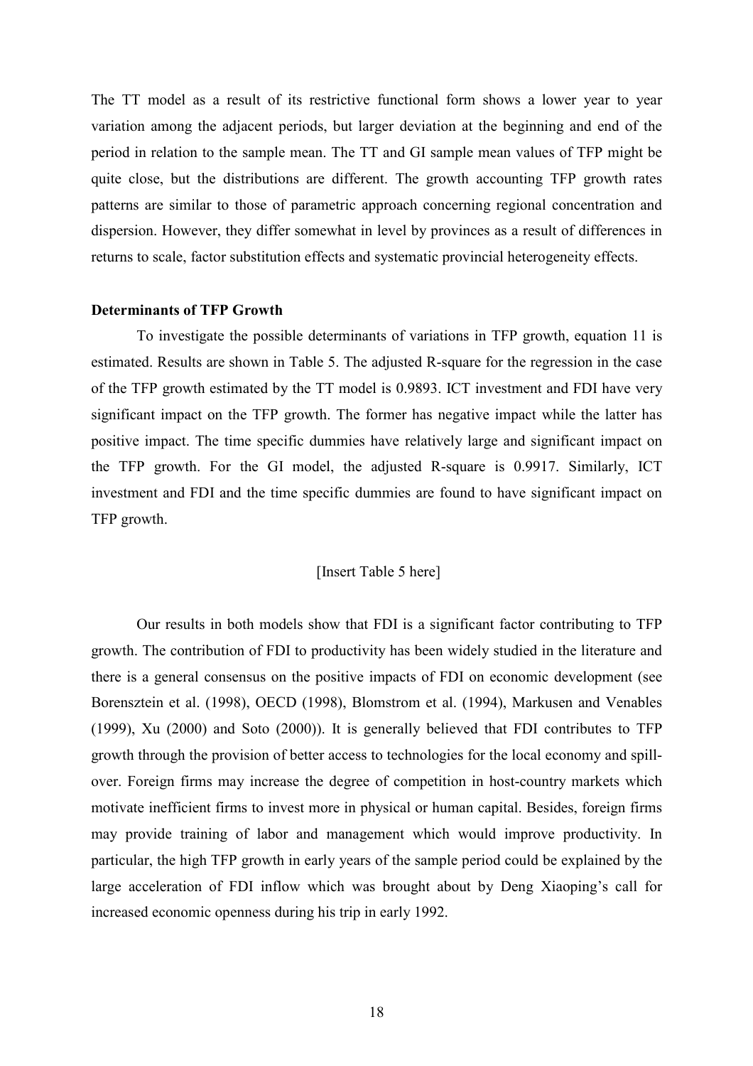The TT model as a result of its restrictive functional form shows a lower year to year variation among the adjacent periods, but larger deviation at the beginning and end of the period in relation to the sample mean. The TT and GI sample mean values of TFP might be quite close, but the distributions are different. The growth accounting TFP growth rates patterns are similar to those of parametric approach concerning regional concentration and dispersion. However, they differ somewhat in level by provinces as a result of differences in returns to scale, factor substitution effects and systematic provincial heterogeneity effects.

#### Determinants of TFP Growth

 To investigate the possible determinants of variations in TFP growth, equation 11 is estimated. Results are shown in Table 5. The adjusted R-square for the regression in the case of the TFP growth estimated by the TT model is 0.9893. ICT investment and FDI have very significant impact on the TFP growth. The former has negative impact while the latter has positive impact. The time specific dummies have relatively large and significant impact on the TFP growth. For the GI model, the adjusted R-square is 0.9917. Similarly, ICT investment and FDI and the time specific dummies are found to have significant impact on TFP growth.

#### [Insert Table 5 here]

 Our results in both models show that FDI is a significant factor contributing to TFP growth. The contribution of FDI to productivity has been widely studied in the literature and there is a general consensus on the positive impacts of FDI on economic development (see Borensztein et al. (1998), OECD (1998), Blomstrom et al. (1994), Markusen and Venables (1999), Xu (2000) and Soto (2000)). It is generally believed that FDI contributes to TFP growth through the provision of better access to technologies for the local economy and spillover. Foreign firms may increase the degree of competition in host-country markets which motivate inefficient firms to invest more in physical or human capital. Besides, foreign firms may provide training of labor and management which would improve productivity. In particular, the high TFP growth in early years of the sample period could be explained by the large acceleration of FDI inflow which was brought about by Deng Xiaoping's call for increased economic openness during his trip in early 1992.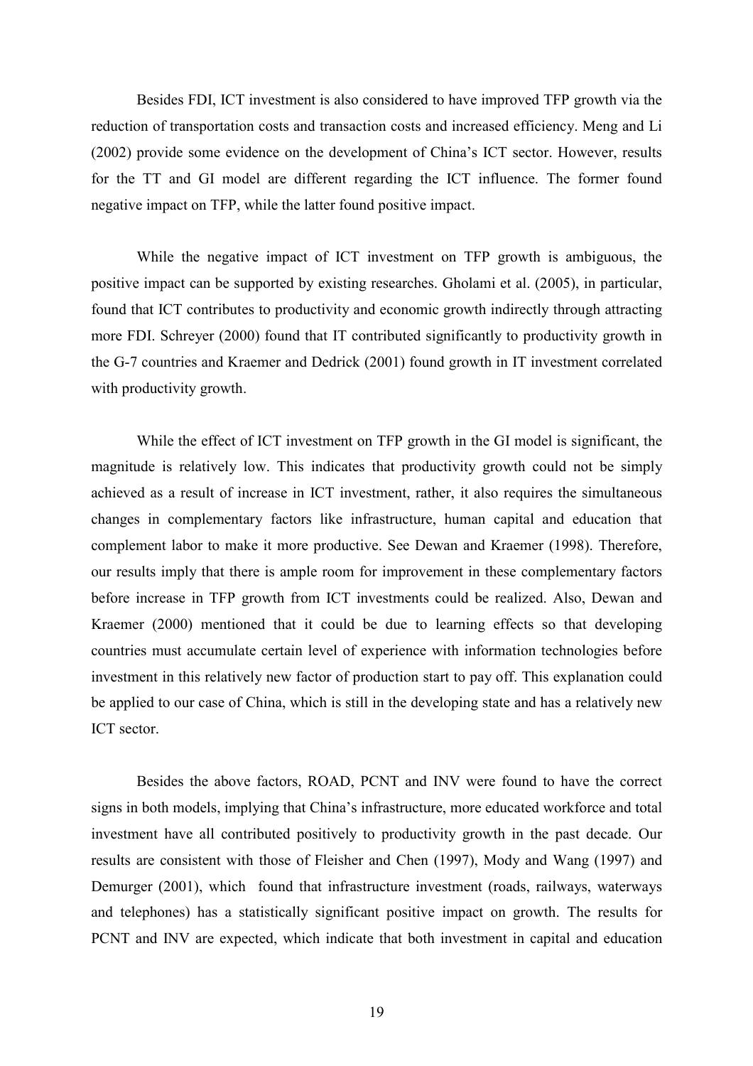Besides FDI, ICT investment is also considered to have improved TFP growth via the reduction of transportation costs and transaction costs and increased efficiency. Meng and Li (2002) provide some evidence on the development of China's ICT sector. However, results for the TT and GI model are different regarding the ICT influence. The former found negative impact on TFP, while the latter found positive impact.

 While the negative impact of ICT investment on TFP growth is ambiguous, the positive impact can be supported by existing researches. Gholami et al. (2005), in particular, found that ICT contributes to productivity and economic growth indirectly through attracting more FDI. Schreyer (2000) found that IT contributed significantly to productivity growth in the G-7 countries and Kraemer and Dedrick (2001) found growth in IT investment correlated with productivity growth.

 While the effect of ICT investment on TFP growth in the GI model is significant, the magnitude is relatively low. This indicates that productivity growth could not be simply achieved as a result of increase in ICT investment, rather, it also requires the simultaneous changes in complementary factors like infrastructure, human capital and education that complement labor to make it more productive. See Dewan and Kraemer (1998). Therefore, our results imply that there is ample room for improvement in these complementary factors before increase in TFP growth from ICT investments could be realized. Also, Dewan and Kraemer (2000) mentioned that it could be due to learning effects so that developing countries must accumulate certain level of experience with information technologies before investment in this relatively new factor of production start to pay off. This explanation could be applied to our case of China, which is still in the developing state and has a relatively new ICT sector.

 Besides the above factors, ROAD, PCNT and INV were found to have the correct signs in both models, implying that China's infrastructure, more educated workforce and total investment have all contributed positively to productivity growth in the past decade. Our results are consistent with those of Fleisher and Chen (1997), Mody and Wang (1997) and Demurger (2001), which found that infrastructure investment (roads, railways, waterways and telephones) has a statistically significant positive impact on growth. The results for PCNT and INV are expected, which indicate that both investment in capital and education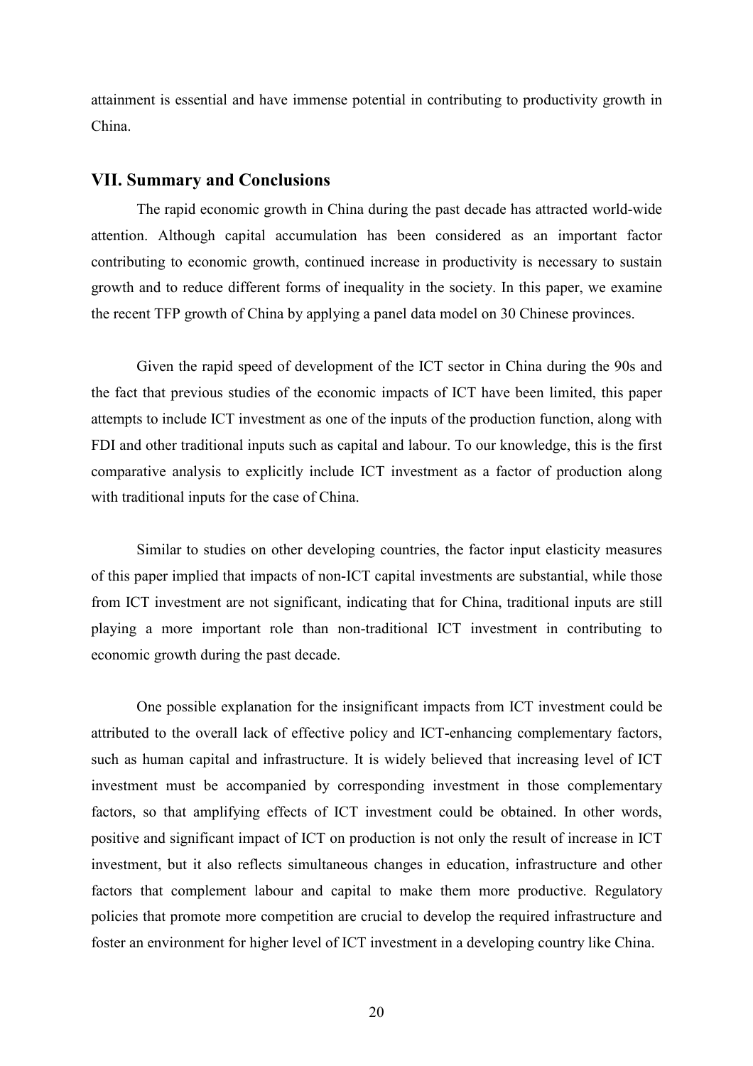attainment is essential and have immense potential in contributing to productivity growth in China.

#### VII. Summary and Conclusions

 The rapid economic growth in China during the past decade has attracted world-wide attention. Although capital accumulation has been considered as an important factor contributing to economic growth, continued increase in productivity is necessary to sustain growth and to reduce different forms of inequality in the society. In this paper, we examine the recent TFP growth of China by applying a panel data model on 30 Chinese provinces.

 Given the rapid speed of development of the ICT sector in China during the 90s and the fact that previous studies of the economic impacts of ICT have been limited, this paper attempts to include ICT investment as one of the inputs of the production function, along with FDI and other traditional inputs such as capital and labour. To our knowledge, this is the first comparative analysis to explicitly include ICT investment as a factor of production along with traditional inputs for the case of China.

 Similar to studies on other developing countries, the factor input elasticity measures of this paper implied that impacts of non-ICT capital investments are substantial, while those from ICT investment are not significant, indicating that for China, traditional inputs are still playing a more important role than non-traditional ICT investment in contributing to economic growth during the past decade.

 One possible explanation for the insignificant impacts from ICT investment could be attributed to the overall lack of effective policy and ICT-enhancing complementary factors, such as human capital and infrastructure. It is widely believed that increasing level of ICT investment must be accompanied by corresponding investment in those complementary factors, so that amplifying effects of ICT investment could be obtained. In other words, positive and significant impact of ICT on production is not only the result of increase in ICT investment, but it also reflects simultaneous changes in education, infrastructure and other factors that complement labour and capital to make them more productive. Regulatory policies that promote more competition are crucial to develop the required infrastructure and foster an environment for higher level of ICT investment in a developing country like China.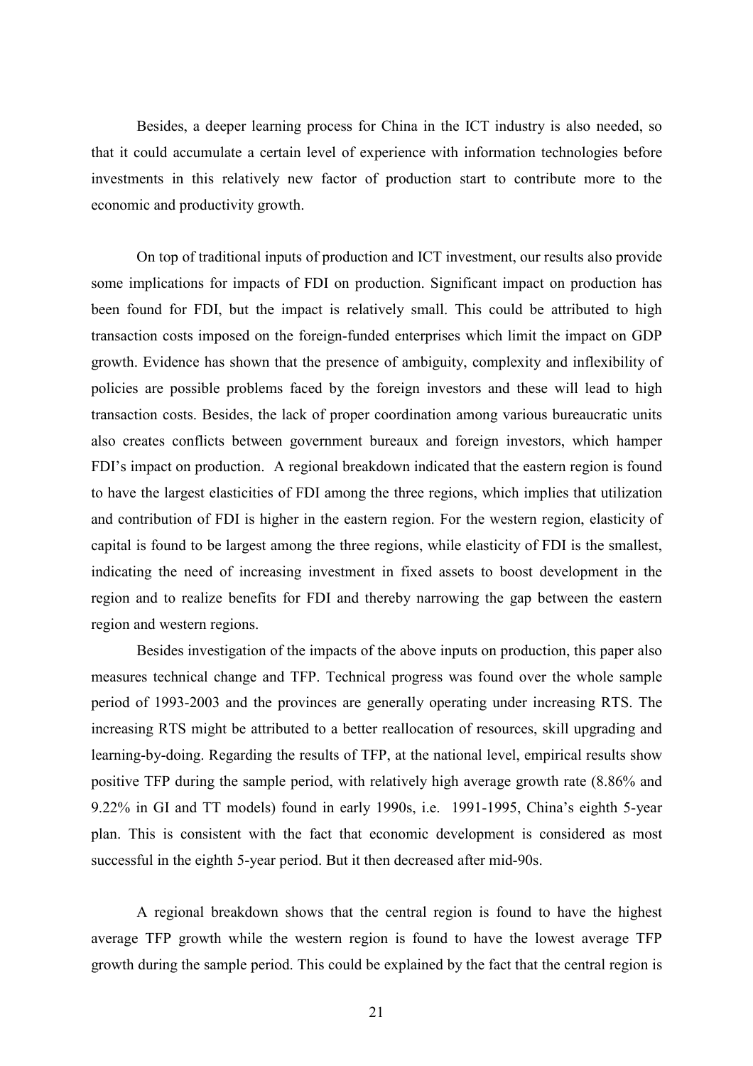Besides, a deeper learning process for China in the ICT industry is also needed, so that it could accumulate a certain level of experience with information technologies before investments in this relatively new factor of production start to contribute more to the economic and productivity growth.

 On top of traditional inputs of production and ICT investment, our results also provide some implications for impacts of FDI on production. Significant impact on production has been found for FDI, but the impact is relatively small. This could be attributed to high transaction costs imposed on the foreign-funded enterprises which limit the impact on GDP growth. Evidence has shown that the presence of ambiguity, complexity and inflexibility of policies are possible problems faced by the foreign investors and these will lead to high transaction costs. Besides, the lack of proper coordination among various bureaucratic units also creates conflicts between government bureaux and foreign investors, which hamper FDI's impact on production. A regional breakdown indicated that the eastern region is found to have the largest elasticities of FDI among the three regions, which implies that utilization and contribution of FDI is higher in the eastern region. For the western region, elasticity of capital is found to be largest among the three regions, while elasticity of FDI is the smallest, indicating the need of increasing investment in fixed assets to boost development in the region and to realize benefits for FDI and thereby narrowing the gap between the eastern region and western regions.

 Besides investigation of the impacts of the above inputs on production, this paper also measures technical change and TFP. Technical progress was found over the whole sample period of 1993-2003 and the provinces are generally operating under increasing RTS. The increasing RTS might be attributed to a better reallocation of resources, skill upgrading and learning-by-doing. Regarding the results of TFP, at the national level, empirical results show positive TFP during the sample period, with relatively high average growth rate (8.86% and 9.22% in GI and TT models) found in early 1990s, i.e. 1991-1995, China's eighth 5-year plan. This is consistent with the fact that economic development is considered as most successful in the eighth 5-year period. But it then decreased after mid-90s.

 A regional breakdown shows that the central region is found to have the highest average TFP growth while the western region is found to have the lowest average TFP growth during the sample period. This could be explained by the fact that the central region is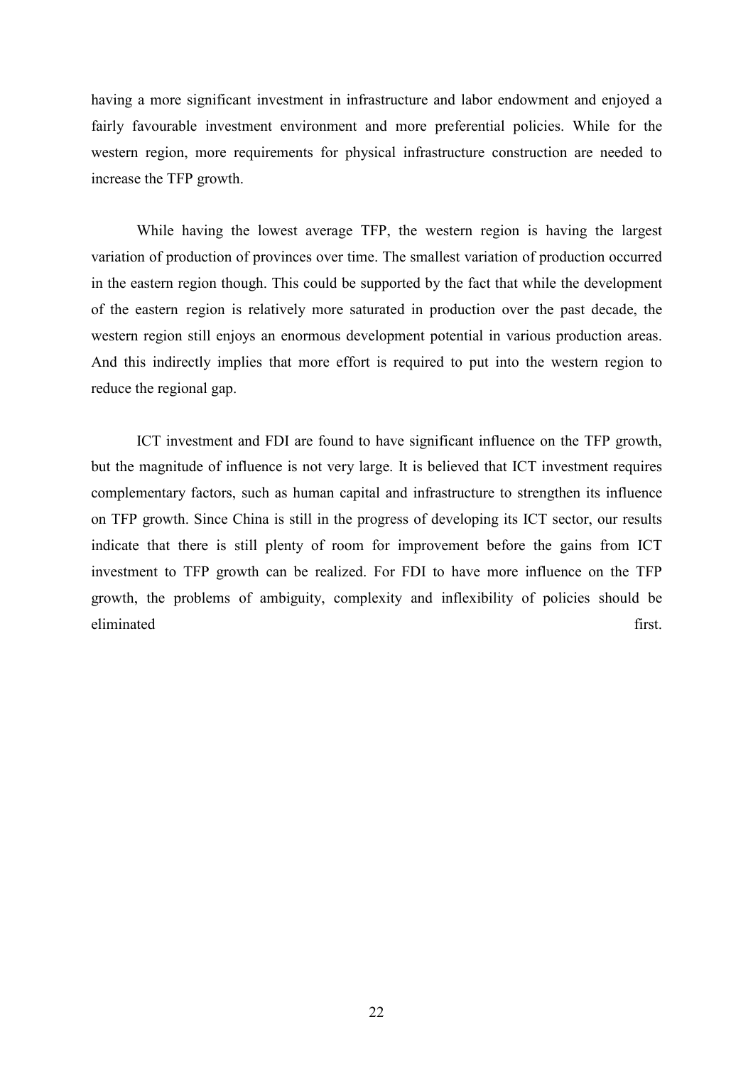having a more significant investment in infrastructure and labor endowment and enjoyed a fairly favourable investment environment and more preferential policies. While for the western region, more requirements for physical infrastructure construction are needed to increase the TFP growth.

 While having the lowest average TFP, the western region is having the largest variation of production of provinces over time. The smallest variation of production occurred in the eastern region though. This could be supported by the fact that while the development of the eastern region is relatively more saturated in production over the past decade, the western region still enjoys an enormous development potential in various production areas. And this indirectly implies that more effort is required to put into the western region to reduce the regional gap.

 ICT investment and FDI are found to have significant influence on the TFP growth, but the magnitude of influence is not very large. It is believed that ICT investment requires complementary factors, such as human capital and infrastructure to strengthen its influence on TFP growth. Since China is still in the progress of developing its ICT sector, our results indicate that there is still plenty of room for improvement before the gains from ICT investment to TFP growth can be realized. For FDI to have more influence on the TFP growth, the problems of ambiguity, complexity and inflexibility of policies should be eliminated first.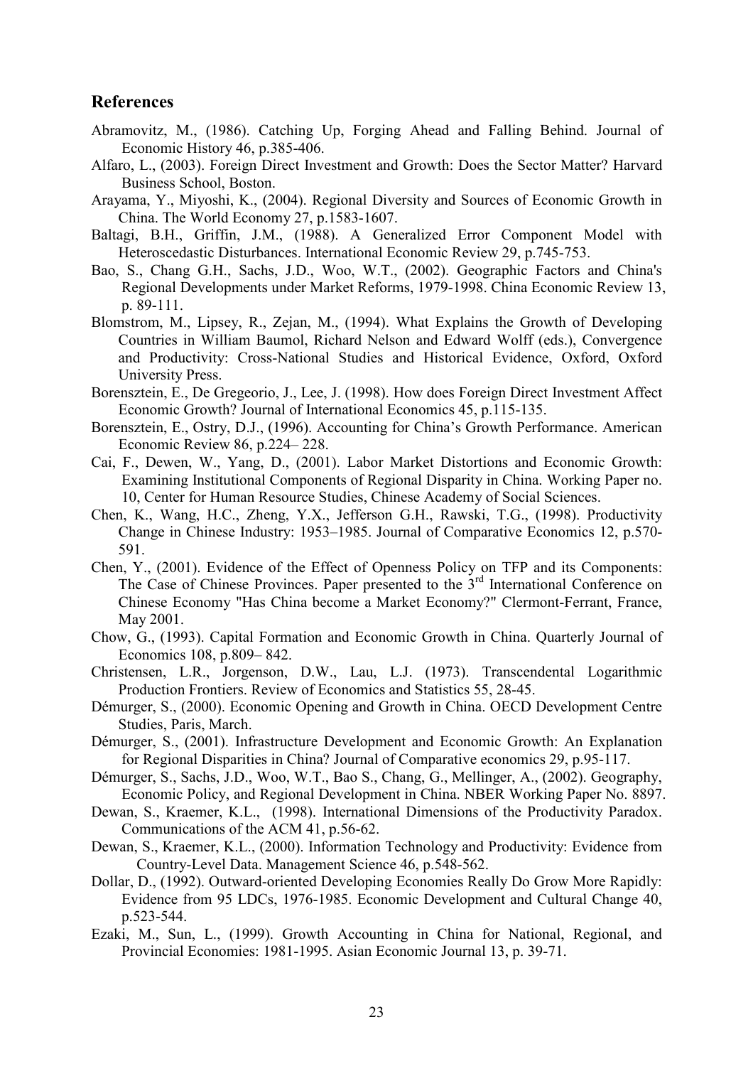# References

- Abramovitz, M., (1986). Catching Up, Forging Ahead and Falling Behind. Journal of Economic History 46, p.385-406.
- Alfaro, L., (2003). Foreign Direct Investment and Growth: Does the Sector Matter? Harvard Business School, Boston.
- Arayama, Y., Miyoshi, K., (2004). Regional Diversity and Sources of Economic Growth in China. The World Economy 27, p.1583-1607.
- Baltagi, B.H., Griffin, J.M., (1988). A Generalized Error Component Model with Heteroscedastic Disturbances. International Economic Review 29, p.745-753.
- Bao, S., Chang G.H., Sachs, J.D., Woo, W.T., (2002). Geographic Factors and China's Regional Developments under Market Reforms, 1979-1998. China Economic Review 13, p. 89-111.
- Blomstrom, M., Lipsey, R., Zejan, M., (1994). What Explains the Growth of Developing Countries in William Baumol, Richard Nelson and Edward Wolff (eds.), Convergence and Productivity: Cross-National Studies and Historical Evidence, Oxford, Oxford University Press.
- Borensztein, E., De Gregeorio, J., Lee, J. (1998). How does Foreign Direct Investment Affect Economic Growth? Journal of International Economics 45, p.115-135.
- Borensztein, E., Ostry, D.J., (1996). Accounting for China's Growth Performance. American Economic Review 86, p.224– 228.
- Cai, F., Dewen, W., Yang, D., (2001). Labor Market Distortions and Economic Growth: Examining Institutional Components of Regional Disparity in China. Working Paper no. 10, Center for Human Resource Studies, Chinese Academy of Social Sciences.
- Chen, K., Wang, H.C., Zheng, Y.X., Jefferson G.H., Rawski, T.G., (1998). Productivity Change in Chinese Industry: 1953–1985. Journal of Comparative Economics 12, p.570- 591.
- Chen, Y., (2001). Evidence of the Effect of Openness Policy on TFP and its Components: The Case of Chinese Provinces. Paper presented to the 3<sup>rd</sup> International Conference on Chinese Economy "Has China become a Market Economy?" Clermont-Ferrant, France, May 2001.
- Chow, G., (1993). Capital Formation and Economic Growth in China. Quarterly Journal of Economics 108, p.809– 842.
- Christensen, L.R., Jorgenson, D.W., Lau, L.J. (1973). Transcendental Logarithmic Production Frontiers. Review of Economics and Statistics 55, 28-45.
- Démurger, S., (2000). Economic Opening and Growth in China. OECD Development Centre Studies, Paris, March.
- Démurger, S., (2001). Infrastructure Development and Economic Growth: An Explanation for Regional Disparities in China? Journal of Comparative economics 29, p.95-117.
- Démurger, S., Sachs, J.D., Woo, W.T., Bao S., Chang, G., Mellinger, A., (2002). Geography, Economic Policy, and Regional Development in China. NBER Working Paper No. 8897.
- Dewan, S., Kraemer, K.L., (1998). International Dimensions of the Productivity Paradox. Communications of the ACM 41, p.56-62.
- Dewan, S., Kraemer, K.L., (2000). Information Technology and Productivity: Evidence from Country-Level Data. Management Science 46, p.548-562.
- Dollar, D., (1992). Outward-oriented Developing Economies Really Do Grow More Rapidly: Evidence from 95 LDCs, 1976-1985. Economic Development and Cultural Change 40, p.523-544.
- Ezaki, M., Sun, L., (1999). Growth Accounting in China for National, Regional, and Provincial Economies: 1981-1995. Asian Economic Journal 13, p. 39-71.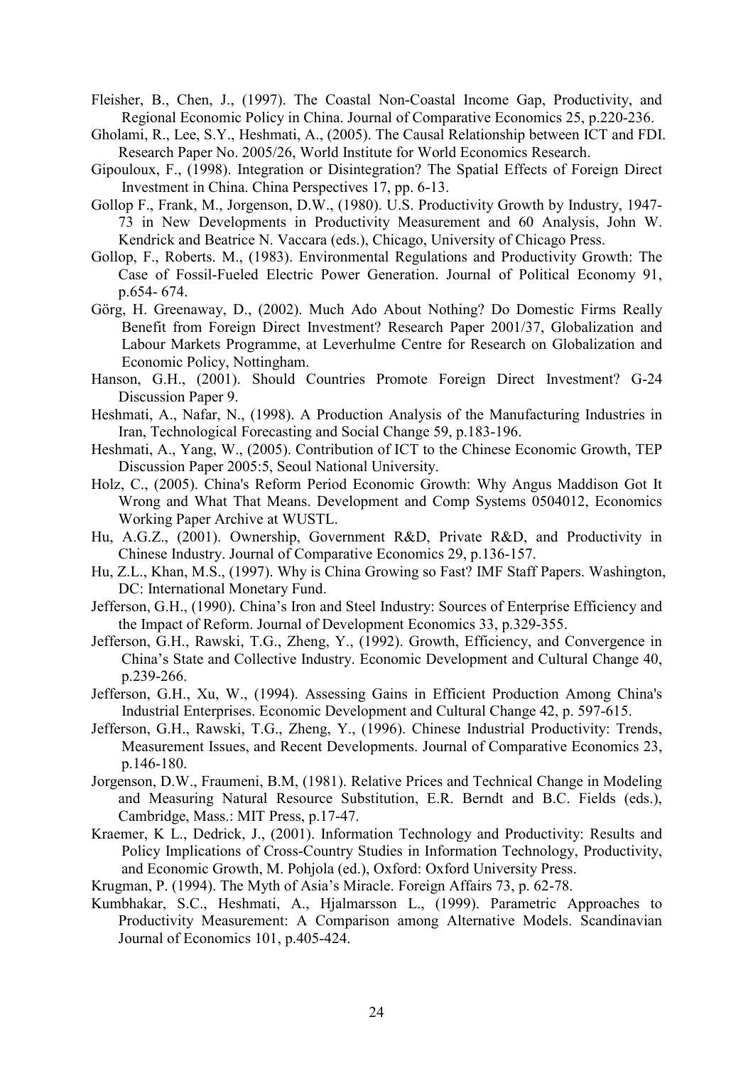- Fleisher, B., Chen, J., (1997). The Coastal Non-Coastal Income Gap, Productivity, and Regional Economic Policy in China. Journal of Comparative Economics 25, p.220-236.
- Gholami, R., Lee, S.Y., Heshmati, A., (2005). The Causal Relationship between ICT and FDI. Research Paper No. 2005/26, World Institute for World Economics Research.
- Gipouloux, F., (1998). Integration or Disintegration? The Spatial Effects of Foreign Direct Investment in China. China Perspectives 17, pp. 6-13.
- Gollop F., Frank, M., Jorgenson, D.W., (1980). U.S. Productivity Growth by Industry, 1947- 73 in New Developments in Productivity Measurement and 60 Analysis, John W. Kendrick and Beatrice N. Vaccara (eds.), Chicago, University of Chicago Press.
- Gollop, F., Roberts. M., (1983). Environmental Regulations and Productivity Growth: The Case of Fossil-Fueled Electric Power Generation. Journal of Political Economy 91, p.654- 674.
- Görg, H. Greenaway, D., (2002). Much Ado About Nothing? Do Domestic Firms Really Benefit from Foreign Direct Investment? Research Paper 2001/37, Globalization and Labour Markets Programme, at Leverhulme Centre for Research on Globalization and Economic Policy, Nottingham.
- Hanson, G.H., (2001). Should Countries Promote Foreign Direct Investment? G-24 Discussion Paper 9.
- Heshmati, A., Nafar, N., (1998). A Production Analysis of the Manufacturing Industries in Iran, Technological Forecasting and Social Change 59, p.183-196.
- Heshmati, A., Yang, W., (2005). Contribution of ICT to the Chinese Economic Growth, TEP Discussion Paper 2005:5, Seoul National University.
- Holz, C., (2005). China's Reform Period Economic Growth: Why Angus Maddison Got It Wrong and What That Means. Development and Comp Systems 0504012, Economics Working Paper Archive at WUSTL.
- Hu, A.G.Z., (2001). Ownership, Government R&D, Private R&D, and Productivity in Chinese Industry. Journal of Comparative Economics 29, p.136-157.
- Hu, Z.L., Khan, M.S., (1997). Why is China Growing so Fast? IMF Staff Papers. Washington, DC: International Monetary Fund.
- Jefferson, G.H., (1990). China's Iron and Steel Industry: Sources of Enterprise Efficiency and the Impact of Reform. Journal of Development Economics 33, p.329-355.
- Jefferson, G.H., Rawski, T.G., Zheng, Y., (1992). Growth, Efficiency, and Convergence in China's State and Collective Industry. Economic Development and Cultural Change 40, p.239-266.
- Jefferson, G.H., Xu, W., (1994). Assessing Gains in Efficient Production Among China's Industrial Enterprises. Economic Development and Cultural Change 42, p. 597-615.
- Jefferson, G.H., Rawski, T.G., Zheng, Y., (1996). Chinese Industrial Productivity: Trends, Measurement Issues, and Recent Developments. Journal of Comparative Economics 23, p.146-180.
- Jorgenson, D.W., Fraumeni, B.M, (1981). Relative Prices and Technical Change in Modeling and Measuring Natural Resource Substitution, E.R. Berndt and B.C. Fields (eds.), Cambridge, Mass.: MIT Press, p.17-47.
- Kraemer, K L., Dedrick, J., (2001). Information Technology and Productivity: Results and Policy Implications of Cross-Country Studies in Information Technology, Productivity, and Economic Growth, M. Pohjola (ed.), Oxford: Oxford University Press.
- Krugman, P. (1994). The Myth of Asia's Miracle. Foreign Affairs 73, p. 62-78.
- Kumbhakar, S.C., Heshmati, A., Hjalmarsson L., (1999). Parametric Approaches to Productivity Measurement: A Comparison among Alternative Models. Scandinavian Journal of Economics 101, p.405-424.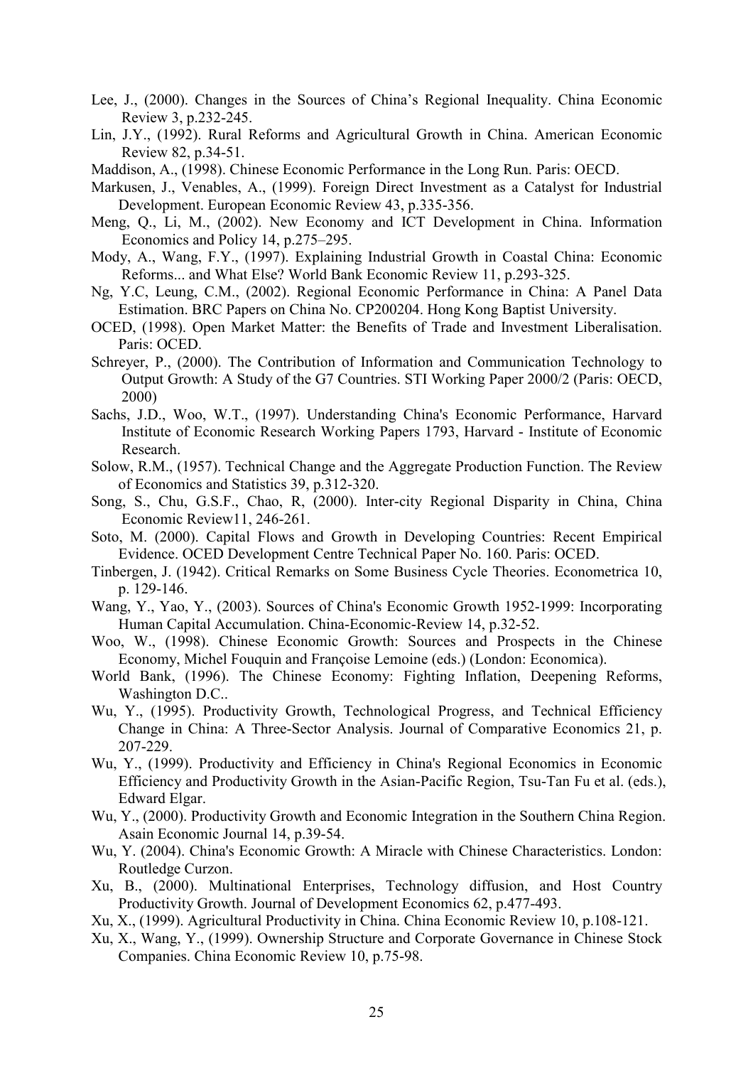- Lee, J., (2000). Changes in the Sources of China's Regional Inequality. China Economic Review 3, p.232-245.
- Lin, J.Y., (1992). Rural Reforms and Agricultural Growth in China. American Economic Review 82, p.34-51.
- Maddison, A., (1998). Chinese Economic Performance in the Long Run. Paris: OECD.
- Markusen, J., Venables, A., (1999). Foreign Direct Investment as a Catalyst for Industrial Development. European Economic Review 43, p.335-356.
- Meng, Q., Li, M., (2002). New Economy and ICT Development in China. Information Economics and Policy 14, p.275–295.
- Mody, A., Wang, F.Y., (1997). Explaining Industrial Growth in Coastal China: Economic Reforms... and What Else? World Bank Economic Review 11, p.293-325.
- Ng, Y.C, Leung, C.M., (2002). Regional Economic Performance in China: A Panel Data Estimation. BRC Papers on China No. CP200204. Hong Kong Baptist University.
- OCED, (1998). Open Market Matter: the Benefits of Trade and Investment Liberalisation. Paris: OCED.
- Schreyer, P., (2000). The Contribution of Information and Communication Technology to Output Growth: A Study of the G7 Countries. STI Working Paper 2000/2 (Paris: OECD, 2000)
- Sachs, J.D., Woo, W.T., (1997). Understanding China's Economic Performance, Harvard Institute of Economic Research Working Papers 1793, Harvard - Institute of Economic Research.
- Solow, R.M., (1957). Technical Change and the Aggregate Production Function. The Review of Economics and Statistics 39, p.312-320.
- Song, S., Chu, G.S.F., Chao, R, (2000). Inter-city Regional Disparity in China, China Economic Review11, 246-261.
- Soto, M. (2000). Capital Flows and Growth in Developing Countries: Recent Empirical Evidence. OCED Development Centre Technical Paper No. 160. Paris: OCED.
- Tinbergen, J. (1942). Critical Remarks on Some Business Cycle Theories. Econometrica 10, p. 129-146.
- Wang, Y., Yao, Y., (2003). Sources of China's Economic Growth 1952-1999: Incorporating Human Capital Accumulation. China-Economic-Review 14, p.32-52.
- Woo, W., (1998). Chinese Economic Growth: Sources and Prospects in the Chinese Economy, Michel Fouquin and Françoise Lemoine (eds.) (London: Economica).
- World Bank, (1996). The Chinese Economy: Fighting Inflation, Deepening Reforms, Washington D.C..
- Wu, Y., (1995). Productivity Growth, Technological Progress, and Technical Efficiency Change in China: A Three-Sector Analysis. Journal of Comparative Economics 21, p. 207-229.
- Wu, Y., (1999). Productivity and Efficiency in China's Regional Economics in Economic Efficiency and Productivity Growth in the Asian-Pacific Region, Tsu-Tan Fu et al. (eds.), Edward Elgar.
- Wu, Y., (2000). Productivity Growth and Economic Integration in the Southern China Region. Asain Economic Journal 14, p.39-54.
- Wu, Y. (2004). China's Economic Growth: A Miracle with Chinese Characteristics. London: Routledge Curzon.
- Xu, B., (2000). Multinational Enterprises, Technology diffusion, and Host Country Productivity Growth. Journal of Development Economics 62, p.477-493.
- Xu, X., (1999). Agricultural Productivity in China. China Economic Review 10, p.108-121.
- Xu, X., Wang, Y., (1999). Ownership Structure and Corporate Governance in Chinese Stock Companies. China Economic Review 10, p.75-98.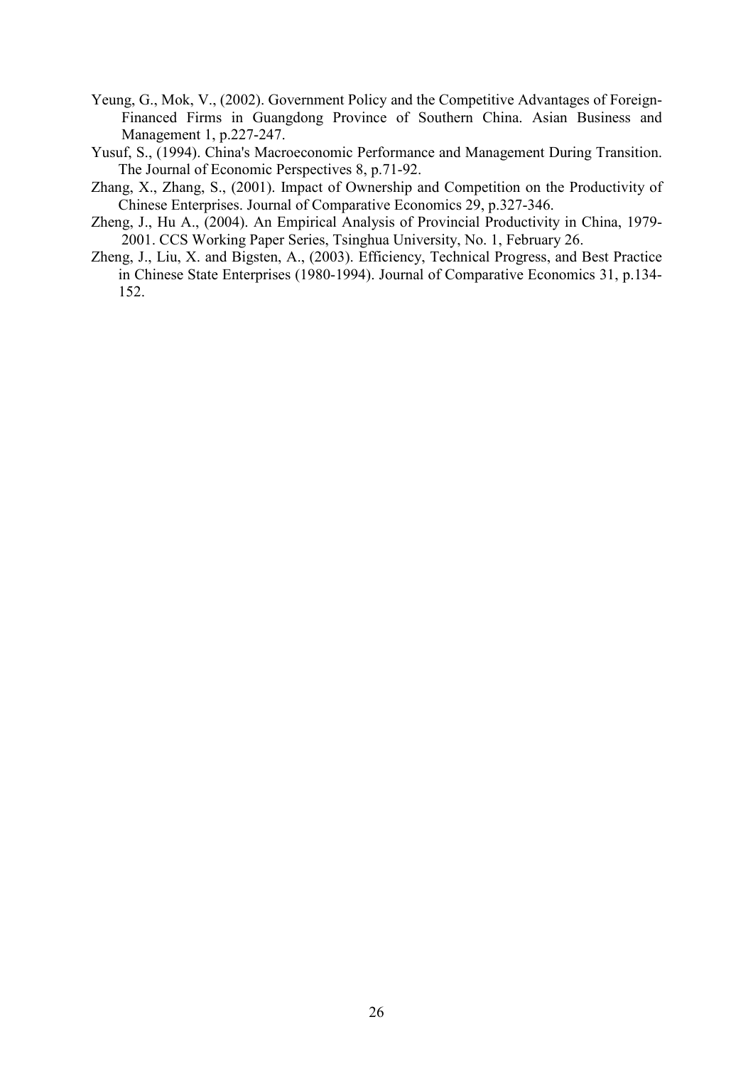- Yeung, G., Mok, V., (2002). Government Policy and the Competitive Advantages of Foreign-Financed Firms in Guangdong Province of Southern China. Asian Business and Management 1, p.227-247.
- Yusuf, S., (1994). China's Macroeconomic Performance and Management During Transition. The Journal of Economic Perspectives 8, p.71-92.
- Zhang, X., Zhang, S., (2001). Impact of Ownership and Competition on the Productivity of Chinese Enterprises. Journal of Comparative Economics 29, p.327-346.
- Zheng, J., Hu A., (2004). An Empirical Analysis of Provincial Productivity in China, 1979- 2001. CCS Working Paper Series, Tsinghua University, No. 1, February 26.
- Zheng, J., Liu, X. and Bigsten, A., (2003). Efficiency, Technical Progress, and Best Practice in Chinese State Enterprises (1980-1994). Journal of Comparative Economics 31, p.134- 152.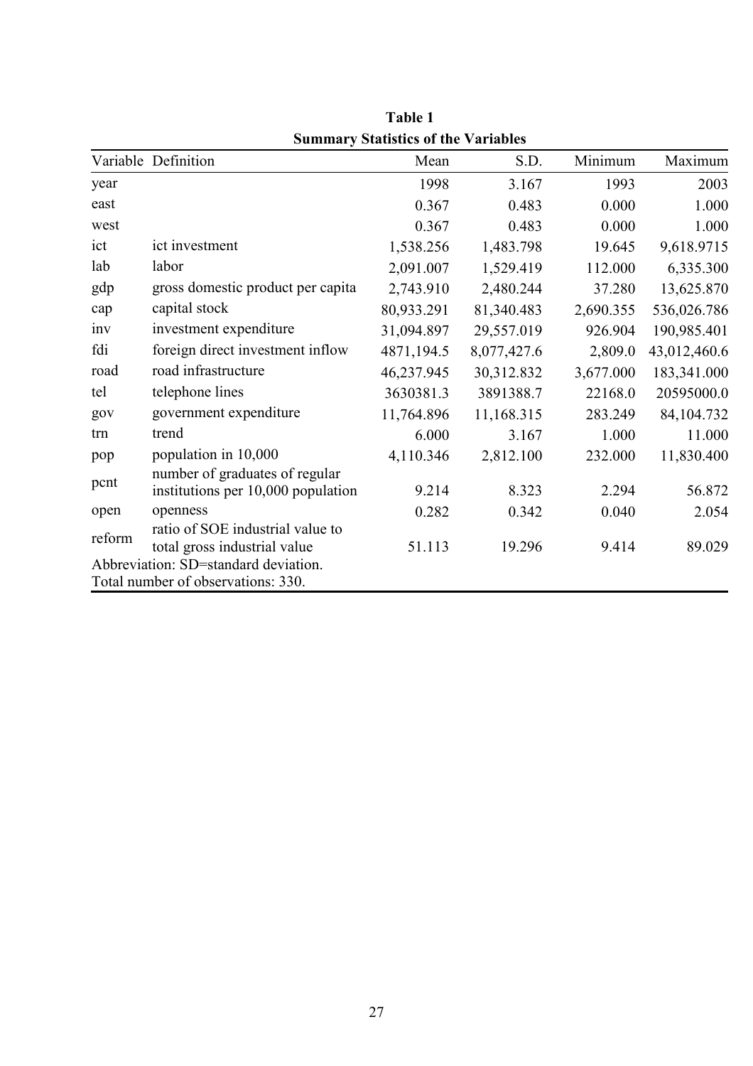|                 |                                      | Summary Statistics of the Variables |             |           |              |
|-----------------|--------------------------------------|-------------------------------------|-------------|-----------|--------------|
|                 | Variable Definition                  | Mean                                | S.D.        | Minimum   | Maximum      |
| year            |                                      | 1998                                | 3.167       | 1993      | 2003         |
| east            |                                      | 0.367                               | 0.483       | 0.000     | 1.000        |
| west            |                                      | 0.367                               | 0.483       | 0.000     | 1.000        |
| ict             | ict investment                       | 1,538.256                           | 1,483.798   | 19.645    | 9,618.9715   |
| lab             | labor                                | 2,091.007                           | 1,529.419   | 112.000   | 6,335.300    |
| gdp             | gross domestic product per capita    | 2,743.910                           | 2,480.244   | 37.280    | 13,625.870   |
| cap             | capital stock                        | 80,933.291                          | 81,340.483  | 2,690.355 | 536,026.786  |
| 1n <sub>V</sub> | investment expenditure               | 31,094.897                          | 29,557.019  | 926.904   | 190,985.401  |
| fdi             | foreign direct investment inflow     | 4871,194.5                          | 8,077,427.6 | 2,809.0   | 43,012,460.6 |
| road            | road infrastructure                  | 46,237.945                          | 30,312.832  | 3,677.000 | 183,341.000  |
| tel             | telephone lines                      | 3630381.3                           | 3891388.7   | 22168.0   | 20595000.0   |
| gov             | government expenditure               | 11,764.896                          | 11,168.315  | 283.249   | 84,104.732   |
| trn             | trend                                | 6.000                               | 3.167       | 1.000     | 11.000       |
| pop             | population in 10,000                 | 4,110.346                           | 2,812.100   | 232.000   | 11,830.400   |
| pcnt            | number of graduates of regular       |                                     |             |           |              |
|                 | institutions per 10,000 population   | 9.214                               | 8.323       | 2.294     | 56.872       |
| open            | openness                             | 0.282                               | 0.342       | 0.040     | 2.054        |
| reform          | ratio of SOE industrial value to     |                                     |             |           |              |
|                 | total gross industrial value         | 51.113                              | 19.296      | 9.414     | 89.029       |
|                 | Abbreviation: SD=standard deviation. |                                     |             |           |              |
|                 | Total number of observations: 330.   |                                     |             |           |              |

Table 1 Summary Statistics of the Variables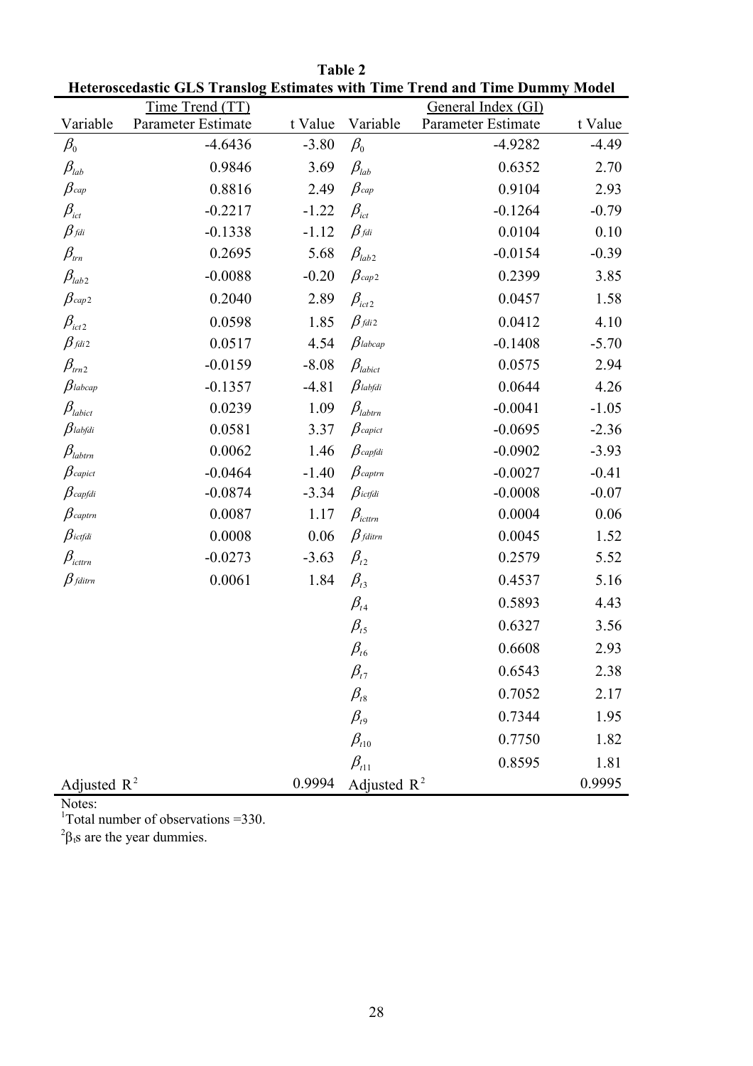|                                     | Time Trend (TT)    |         |                                           | General Index (GI) |         |
|-------------------------------------|--------------------|---------|-------------------------------------------|--------------------|---------|
| Variable                            | Parameter Estimate | t Value | Variable                                  | Parameter Estimate | t Value |
| $\beta_{\scriptscriptstyle 0}$      | $-4.6436$          | $-3.80$ | $\beta_{\scriptscriptstyle 0}$            | $-4.9282$          | $-4.49$ |
| $\beta_{\scriptscriptstyle lab}$    | 0.9846             | 3.69    | $\beta_{\scriptscriptstyle lab}$          | 0.6352             | 2.70    |
| $\beta$ cap                         | 0.8816             | 2.49    | $\beta$ cap                               | 0.9104             | 2.93    |
| $\beta_{ict}$                       | $-0.2217$          | $-1.22$ | $\beta_{\rm\scriptscriptstyle ict}$       | $-0.1264$          | $-0.79$ |
| $\beta_{\it fdi}$                   | $-0.1338$          | $-1.12$ | $\beta_{\it fdi}$                         | 0.0104             | 0.10    |
| $\beta_{\scriptscriptstyle trn}$    | 0.2695             | 5.68    | $\beta_{\scriptscriptstyle lab2}$         | $-0.0154$          | $-0.39$ |
| $\beta_{\scriptscriptstyle lab2}$   | $-0.0088$          | $-0.20$ | $\beta$ cap2                              | 0.2399             | 3.85    |
| $\beta$ cap 2                       | 0.2040             | 2.89    | $\beta_{ict2}$                            | 0.0457             | 1.58    |
| $\beta_{ict2}$                      | 0.0598             | 1.85    | $\beta$ fdi 2                             | 0.0412             | 4.10    |
| $\beta$ fdi 2                       | 0.0517             | 4.54    | $\beta$ labcap                            | $-0.1408$          | $-5.70$ |
| $\beta_{\scriptscriptstyle trn2}$   | $-0.0159$          | $-8.08$ | $\beta_{\textit{labit}}$                  | 0.0575             | 2.94    |
| $\beta$ labcap                      | $-0.1357$          | $-4.81$ | $\beta$ labfdi                            | 0.0644             | 4.26    |
| $\beta_{\scriptscriptstyle labict}$ | 0.0239             | 1.09    | $\beta_{\scriptscriptstyle\text{labtrn}}$ | $-0.0041$          | $-1.05$ |
| $\beta$ labfdi                      | 0.0581             | 3.37    | $\beta$ capict                            | $-0.0695$          | $-2.36$ |
| $\beta_{\scriptscriptstyle labtrn}$ | 0.0062             | 1.46    | $\beta$ capfdi                            | $-0.0902$          | $-3.93$ |
| $\beta$ capict                      | $-0.0464$          | $-1.40$ | $\beta$ captrn                            | $-0.0027$          | $-0.41$ |
| $\beta$ capfdi                      | $-0.0874$          | $-3.34$ | $\beta$ ictfdi                            | $-0.0008$          | $-0.07$ |
| $\beta$ captrn                      | 0.0087             | 1.17    | $\beta_{\scriptscriptstyle icttrn}$       | 0.0004             | 0.06    |
| $\beta$ ictfdi                      | 0.0008             | 0.06    | $\beta$ fditrn                            | 0.0045             | 1.52    |
| $\beta_{\scriptscriptstyle icttrn}$ | $-0.0273$          | $-3.63$ | $\beta_{t2}$                              | 0.2579             | 5.52    |
| $\beta$ fditrn                      | 0.0061             | 1.84    | $\beta_{t3}$                              | 0.4537             | 5.16    |
|                                     |                    |         | $\beta_{t4}$                              | 0.5893             | 4.43    |
|                                     |                    |         | $\beta_{t5}$                              | 0.6327             | 3.56    |
|                                     |                    |         | $\beta_{t6}$                              | 0.6608             | 2.93    |
|                                     |                    |         | $\beta_{\scriptscriptstyle t7}$           | 0.6543             | 2.38    |
|                                     |                    |         | $\beta_{\scriptscriptstyle t8}$           | 0.7052             | 2.17    |
|                                     |                    |         | $\beta_{t9}$                              | 0.7344             | 1.95    |
|                                     |                    |         | $\beta_{t10}$                             | 0.7750             | 1.82    |
|                                     |                    |         | $\beta_{t11}$                             | 0.8595             | 1.81    |
| Adjusted $R^2$                      |                    | 0.9994  | Adjusted $R^2$                            |                    | 0.9995  |

Table 2 Heteroscedastic GLS Translog Estimates with Time Trend and Time Dummy Model

Notes:

<sup>1</sup>Total number of observations =  $330$ .

<sup>2</sup>β<sub>t</sub>s are the year dummies.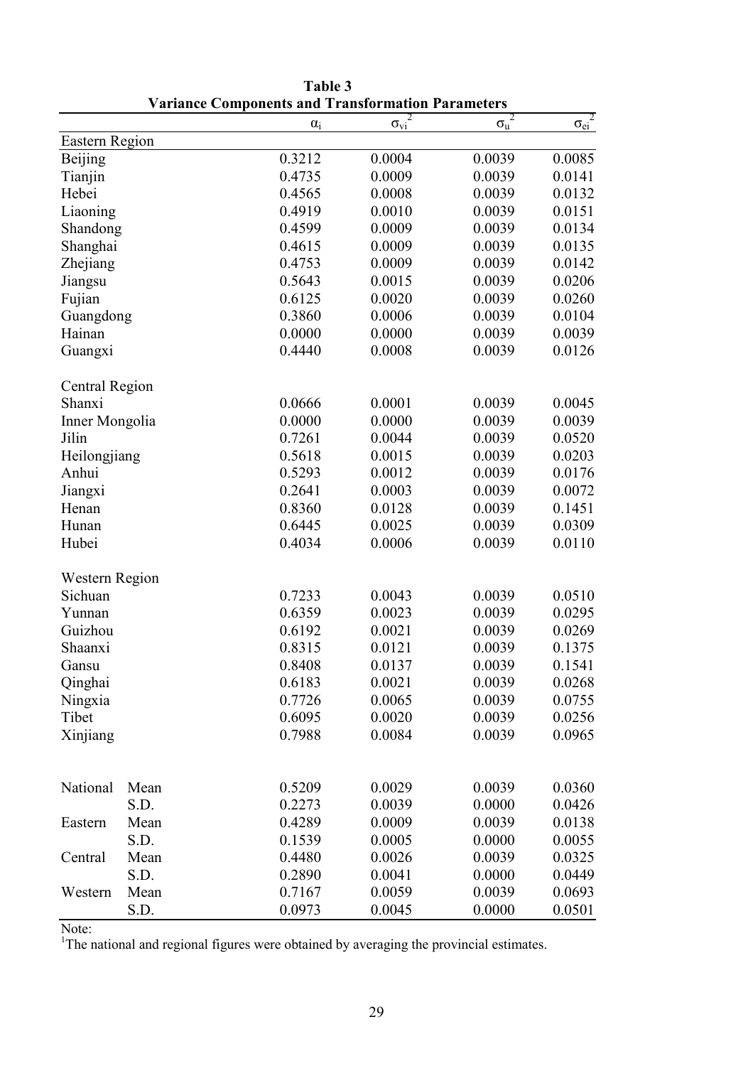|                |      | $\alpha_i$ | $\sigma_{vi}^2$ | 2<br>$\sigma_{\rm u}$ | $\overline{\sigma_{ei}^2}$ |
|----------------|------|------------|-----------------|-----------------------|----------------------------|
| Eastern Region |      |            |                 |                       |                            |
| <b>Beijing</b> |      | 0.3212     | 0.0004          | 0.0039                | 0.0085                     |
| Tianjin        |      | 0.4735     | 0.0009          | 0.0039                | 0.0141                     |
| Hebei          |      | 0.4565     | 0.0008          | 0.0039                | 0.0132                     |
| Liaoning       |      | 0.4919     | 0.0010          | 0.0039                | 0.0151                     |
| Shandong       |      | 0.4599     | 0.0009          | 0.0039                | 0.0134                     |
| Shanghai       |      | 0.4615     | 0.0009          | 0.0039                | 0.0135                     |
| Zhejiang       |      | 0.4753     | 0.0009          | 0.0039                | 0.0142                     |
| Jiangsu        |      | 0.5643     | 0.0015          | 0.0039                | 0.0206                     |
| Fujian         |      | 0.6125     | 0.0020          | 0.0039                | 0.0260                     |
| Guangdong      |      | 0.3860     | 0.0006          | 0.0039                | 0.0104                     |
| Hainan         |      | 0.0000     | 0.0000          | 0.0039                | 0.0039                     |
| Guangxi        |      | 0.4440     | 0.0008          | 0.0039                | 0.0126                     |
| Central Region |      |            |                 |                       |                            |
| Shanxi         |      | 0.0666     | 0.0001          | 0.0039                | 0.0045                     |
| Inner Mongolia |      | 0.0000     | 0.0000          | 0.0039                | 0.0039                     |
| Jilin          |      | 0.7261     | 0.0044          | 0.0039                | 0.0520                     |
|                |      |            |                 |                       |                            |
| Heilongjiang   |      | 0.5618     | 0.0015          | 0.0039                | 0.0203                     |
| Anhui          |      | 0.5293     | 0.0012          | 0.0039                | 0.0176                     |
| Jiangxi        |      | 0.2641     | 0.0003          | 0.0039                | 0.0072                     |
| Henan          |      | 0.8360     | 0.0128          | 0.0039                | 0.1451                     |
| Hunan          |      | 0.6445     | 0.0025          | 0.0039                | 0.0309                     |
| Hubei          |      | 0.4034     | 0.0006          | 0.0039                | 0.0110                     |
| Western Region |      |            |                 |                       |                            |
| Sichuan        |      | 0.7233     | 0.0043          | 0.0039                | 0.0510                     |
| Yunnan         |      | 0.6359     | 0.0023          | 0.0039                | 0.0295                     |
| Guizhou        |      | 0.6192     | 0.0021          | 0.0039                | 0.0269                     |
| Shaanxi        |      | 0.8315     | 0.0121          | 0.0039                | 0.1375                     |
| Gansu          |      | 0.8408     | 0.0137          | 0.0039                | 0.1541                     |
| Qinghai        |      | 0.6183     | 0.0021          | 0.0039                | 0.0268                     |
| Ningxia        |      | 0.7726     | 0.0065          | 0.0039                | 0.0755                     |
| Tibet          |      | 0.6095     | 0.0020          | 0.0039                | 0.0256                     |
| Xinjiang       |      | 0.7988     | 0.0084          | 0.0039                | 0.0965                     |
|                |      |            |                 |                       |                            |
| National       | Mean | 0.5209     | 0.0029          | 0.0039                | 0.0360                     |
|                | S.D. | 0.2273     | 0.0039          | 0.0000                | 0.0426                     |
| Eastern        | Mean | 0.4289     | 0.0009          | 0.0039                | 0.0138                     |
|                | S.D. | 0.1539     | 0.0005          | 0.0000                | 0.0055                     |
| Central        | Mean | 0.4480     | 0.0026          | 0.0039                | 0.0325                     |
|                | S.D. | 0.2890     | 0.0041          | 0.0000                | 0.0449                     |
| Western        | Mean | 0.7167     | 0.0059          | 0.0039                | 0.0693                     |
|                | S.D. | 0.0973     | 0.0045          | 0.0000                | 0.0501                     |

Table 3 Variance Components and Transformation Parameters

Note:

<sup>1</sup>The national and regional figures were obtained by averaging the provincial estimates.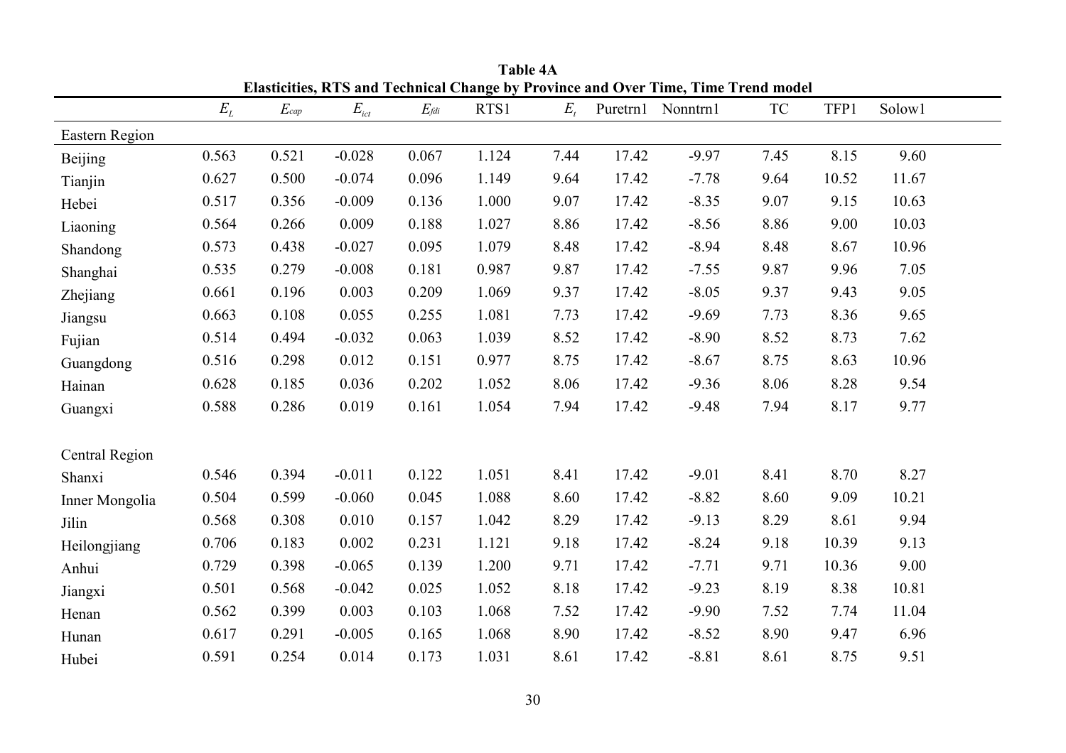|                 |       |           |                                 |                    |       |         |       | Elasticities, RTS and Technical Change by Province and Over Time, Time Trend model |           |       |        |  |
|-----------------|-------|-----------|---------------------------------|--------------------|-------|---------|-------|------------------------------------------------------------------------------------|-----------|-------|--------|--|
|                 | $E_L$ | $E_{cap}$ | $E_{\rm\scriptscriptstyle 1ct}$ | $E_{\textit{fdi}}$ | RTS1  | $E_{t}$ |       | Puretrn1 Nonntrn1                                                                  | <b>TC</b> | TFP1  | Solow1 |  |
| Eastern Region  |       |           |                                 |                    |       |         |       |                                                                                    |           |       |        |  |
| <b>Beijing</b>  | 0.563 | 0.521     | $-0.028$                        | 0.067              | 1.124 | 7.44    | 17.42 | $-9.97$                                                                            | 7.45      | 8.15  | 9.60   |  |
| Tianjin         | 0.627 | 0.500     | $-0.074$                        | 0.096              | 1.149 | 9.64    | 17.42 | $-7.78$                                                                            | 9.64      | 10.52 | 11.67  |  |
| Hebei           | 0.517 | 0.356     | $-0.009$                        | 0.136              | 1.000 | 9.07    | 17.42 | $-8.35$                                                                            | 9.07      | 9.15  | 10.63  |  |
| Liaoning        | 0.564 | 0.266     | 0.009                           | 0.188              | 1.027 | 8.86    | 17.42 | $-8.56$                                                                            | 8.86      | 9.00  | 10.03  |  |
| Shandong        | 0.573 | 0.438     | $-0.027$                        | 0.095              | 1.079 | 8.48    | 17.42 | $-8.94$                                                                            | 8.48      | 8.67  | 10.96  |  |
| Shanghai        | 0.535 | 0.279     | $-0.008$                        | 0.181              | 0.987 | 9.87    | 17.42 | $-7.55$                                                                            | 9.87      | 9.96  | 7.05   |  |
| <b>Zhejiang</b> | 0.661 | 0.196     | 0.003                           | 0.209              | 1.069 | 9.37    | 17.42 | $-8.05$                                                                            | 9.37      | 9.43  | 9.05   |  |
| Jiangsu         | 0.663 | 0.108     | 0.055                           | 0.255              | 1.081 | 7.73    | 17.42 | $-9.69$                                                                            | 7.73      | 8.36  | 9.65   |  |
| Fujian          | 0.514 | 0.494     | $-0.032$                        | 0.063              | 1.039 | 8.52    | 17.42 | $-8.90$                                                                            | 8.52      | 8.73  | 7.62   |  |
| Guangdong       | 0.516 | 0.298     | 0.012                           | 0.151              | 0.977 | 8.75    | 17.42 | $-8.67$                                                                            | 8.75      | 8.63  | 10.96  |  |
| Hainan          | 0.628 | 0.185     | 0.036                           | 0.202              | 1.052 | 8.06    | 17.42 | $-9.36$                                                                            | 8.06      | 8.28  | 9.54   |  |
| Guangxi         | 0.588 | 0.286     | 0.019                           | 0.161              | 1.054 | 7.94    | 17.42 | $-9.48$                                                                            | 7.94      | 8.17  | 9.77   |  |
| Central Region  |       |           |                                 |                    |       |         |       |                                                                                    |           |       |        |  |
| Shanxi          | 0.546 | 0.394     | $-0.011$                        | 0.122              | 1.051 | 8.41    | 17.42 | $-9.01$                                                                            | 8.41      | 8.70  | 8.27   |  |
| Inner Mongolia  | 0.504 | 0.599     | $-0.060$                        | 0.045              | 1.088 | 8.60    | 17.42 | $-8.82$                                                                            | 8.60      | 9.09  | 10.21  |  |
| Jilin           | 0.568 | 0.308     | 0.010                           | 0.157              | 1.042 | 8.29    | 17.42 | $-9.13$                                                                            | 8.29      | 8.61  | 9.94   |  |
| Heilongjiang    | 0.706 | 0.183     | 0.002                           | 0.231              | 1.121 | 9.18    | 17.42 | $-8.24$                                                                            | 9.18      | 10.39 | 9.13   |  |
| Anhui           | 0.729 | 0.398     | $-0.065$                        | 0.139              | 1.200 | 9.71    | 17.42 | $-7.71$                                                                            | 9.71      | 10.36 | 9.00   |  |
| Jiangxi         | 0.501 | 0.568     | $-0.042$                        | 0.025              | 1.052 | 8.18    | 17.42 | $-9.23$                                                                            | 8.19      | 8.38  | 10.81  |  |
| Henan           | 0.562 | 0.399     | 0.003                           | 0.103              | 1.068 | 7.52    | 17.42 | $-9.90$                                                                            | 7.52      | 7.74  | 11.04  |  |
| Hunan           | 0.617 | 0.291     | $-0.005$                        | 0.165              | 1.068 | 8.90    | 17.42 | $-8.52$                                                                            | 8.90      | 9.47  | 6.96   |  |
| Hubei           | 0.591 | 0.254     | 0.014                           | 0.173              | 1.031 | 8.61    | 17.42 | $-8.81$                                                                            | 8.61      | 8.75  | 9.51   |  |

Table 4A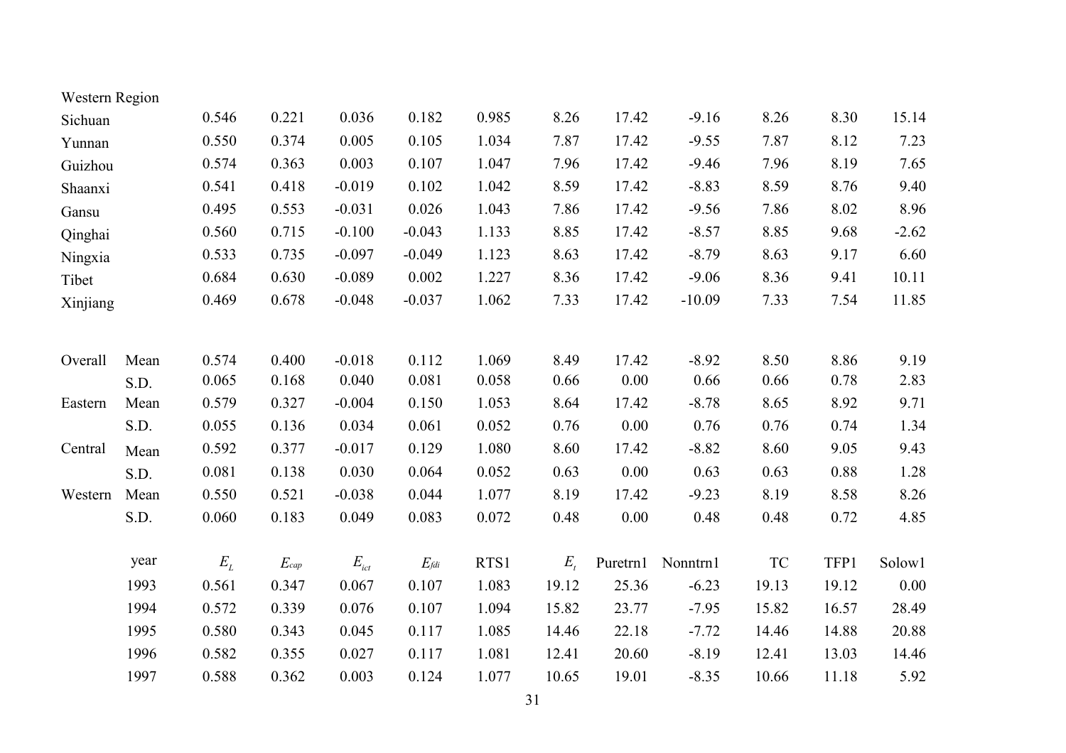| Western Region |      |       |           |                                 |               |       |         |          |          |           |       |         |
|----------------|------|-------|-----------|---------------------------------|---------------|-------|---------|----------|----------|-----------|-------|---------|
| Sichuan        |      | 0.546 | 0.221     | 0.036                           | 0.182         | 0.985 | 8.26    | 17.42    | $-9.16$  | 8.26      | 8.30  | 15.14   |
| Yunnan         |      | 0.550 | 0.374     | 0.005                           | 0.105         | 1.034 | 7.87    | 17.42    | $-9.55$  | 7.87      | 8.12  | 7.23    |
| Guizhou        |      | 0.574 | 0.363     | 0.003                           | 0.107         | 1.047 | 7.96    | 17.42    | $-9.46$  | 7.96      | 8.19  | 7.65    |
| Shaanxi        |      | 0.541 | 0.418     | $-0.019$                        | 0.102         | 1.042 | 8.59    | 17.42    | $-8.83$  | 8.59      | 8.76  | 9.40    |
| Gansu          |      | 0.495 | 0.553     | $-0.031$                        | 0.026         | 1.043 | 7.86    | 17.42    | $-9.56$  | 7.86      | 8.02  | 8.96    |
| Qinghai        |      | 0.560 | 0.715     | $-0.100$                        | $-0.043$      | 1.133 | 8.85    | 17.42    | $-8.57$  | 8.85      | 9.68  | $-2.62$ |
| Ningxia        |      | 0.533 | 0.735     | $-0.097$                        | $-0.049$      | 1.123 | 8.63    | 17.42    | $-8.79$  | 8.63      | 9.17  | 6.60    |
| Tibet          |      | 0.684 | 0.630     | $-0.089$                        | 0.002         | 1.227 | 8.36    | 17.42    | $-9.06$  | 8.36      | 9.41  | 10.11   |
| Xinjiang       |      | 0.469 | 0.678     | $-0.048$                        | $-0.037$      | 1.062 | 7.33    | 17.42    | $-10.09$ | 7.33      | 7.54  | 11.85   |
| Overall        | Mean | 0.574 | 0.400     | $-0.018$                        | 0.112         | 1.069 | 8.49    | 17.42    | $-8.92$  | 8.50      | 8.86  | 9.19    |
|                | S.D. | 0.065 | 0.168     | 0.040                           | 0.081         | 0.058 | 0.66    | 0.00     | 0.66     | 0.66      | 0.78  | 2.83    |
| Eastern        | Mean | 0.579 | 0.327     | $-0.004$                        | 0.150         | 1.053 | 8.64    | 17.42    | $-8.78$  | 8.65      | 8.92  | 9.71    |
|                | S.D. | 0.055 | 0.136     | 0.034                           | 0.061         | 0.052 | 0.76    | 0.00     | 0.76     | 0.76      | 0.74  | 1.34    |
| Central        | Mean | 0.592 | 0.377     | $-0.017$                        | 0.129         | 1.080 | 8.60    | 17.42    | $-8.82$  | 8.60      | 9.05  | 9.43    |
|                | S.D. | 0.081 | 0.138     | 0.030                           | 0.064         | 0.052 | 0.63    | 0.00     | 0.63     | 0.63      | 0.88  | 1.28    |
| Western        | Mean | 0.550 | 0.521     | $-0.038$                        | 0.044         | 1.077 | 8.19    | 17.42    | $-9.23$  | 8.19      | 8.58  | 8.26    |
|                | S.D. | 0.060 | 0.183     | 0.049                           | 0.083         | 0.072 | 0.48    | 0.00     | 0.48     | 0.48      | 0.72  | 4.85    |
|                | year | $E_L$ | $E_{cap}$ | $E_{\rm\scriptscriptstyle ict}$ | $E_{\it fdi}$ | RTS1  | $E_{t}$ | Puretrn1 | Nonntrn1 | <b>TC</b> | TFP1  | Solow1  |
|                | 1993 | 0.561 | 0.347     | 0.067                           | 0.107         | 1.083 | 19.12   | 25.36    | $-6.23$  | 19.13     | 19.12 | 0.00    |
|                | 1994 | 0.572 | 0.339     | 0.076                           | 0.107         | 1.094 | 15.82   | 23.77    | $-7.95$  | 15.82     | 16.57 | 28.49   |
|                | 1995 | 0.580 | 0.343     | 0.045                           | 0.117         | 1.085 | 14.46   | 22.18    | $-7.72$  | 14.46     | 14.88 | 20.88   |
|                | 1996 | 0.582 | 0.355     | 0.027                           | 0.117         | 1.081 | 12.41   | 20.60    | $-8.19$  | 12.41     | 13.03 | 14.46   |
|                | 1997 | 0.588 | 0.362     | 0.003                           | 0.124         | 1.077 | 10.65   | 19.01    | $-8.35$  | 10.66     | 11.18 | 5.92    |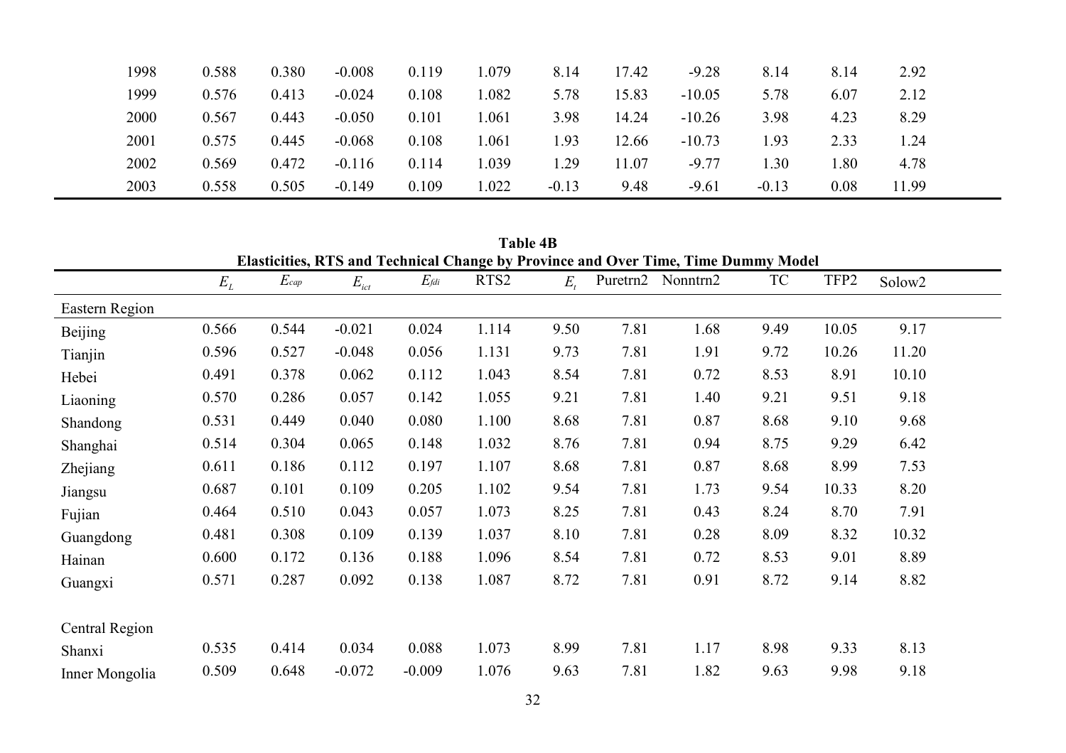| 1998 | 0.588 | 0.380 | $-0.008$ | 0.119 | .079 | 8.14    | 17.42 | $-9.28$  | 8.14    | 8.14 | 2.92            |  |
|------|-------|-------|----------|-------|------|---------|-------|----------|---------|------|-----------------|--|
| 1999 | 0.576 | 0.413 | $-0.024$ | 0.108 | .082 | 5.78    | 15.83 | $-10.05$ | 5.78    | 6.07 | 2.12            |  |
| 2000 | 0.567 | 0.443 | $-0.050$ | 0.101 | .061 | 3.98    | 14.24 | $-10.26$ | 3.98    | 4.23 | 8.29            |  |
| 2001 | 0.575 | 0.445 | $-0.068$ | 0.108 | .061 | l.93    | 12.66 | $-10.73$ | l.93    | 2.33 | $\overline{24}$ |  |
| 2002 | 0.569 | 0.472 | $-0.116$ | 0.114 | .039 | . 29    | 1.07  | $-9.77$  | .30     | .80  | 4.78            |  |
| 2003 | 0.558 | 0.505 | $-0.149$ | 0.109 | .022 | $-0.13$ | 9.48  | $-9.61$  | $-0.13$ | 0.08 | 11.99           |  |

|                | <b>Table 4B</b><br>Elasticities, RTS and Technical Change by Province and Over Time, Time Dummy Model |           |           |                    |                  |         |          |          |      |       |                    |  |
|----------------|-------------------------------------------------------------------------------------------------------|-----------|-----------|--------------------|------------------|---------|----------|----------|------|-------|--------------------|--|
|                | $E_L$                                                                                                 | $E_{cap}$ | $E_{ict}$ | $E_{\textit{fdi}}$ | RTS <sub>2</sub> | $E_{i}$ | Puretrn2 | Nonntrn2 | TC   | TFP2  | Solow <sub>2</sub> |  |
| Eastern Region |                                                                                                       |           |           |                    |                  |         |          |          |      |       |                    |  |
| <b>Beijing</b> | 0.566                                                                                                 | 0.544     | $-0.021$  | 0.024              | 1.114            | 9.50    | 7.81     | 1.68     | 9.49 | 10.05 | 9.17               |  |
| Tianjin        | 0.596                                                                                                 | 0.527     | $-0.048$  | 0.056              | 1.131            | 9.73    | 7.81     | 1.91     | 9.72 | 10.26 | 11.20              |  |
| Hebei          | 0.491                                                                                                 | 0.378     | 0.062     | 0.112              | 1.043            | 8.54    | 7.81     | 0.72     | 8.53 | 8.91  | 10.10              |  |
| Liaoning       | 0.570                                                                                                 | 0.286     | 0.057     | 0.142              | 1.055            | 9.21    | 7.81     | 1.40     | 9.21 | 9.51  | 9.18               |  |
| Shandong       | 0.531                                                                                                 | 0.449     | 0.040     | 0.080              | 1.100            | 8.68    | 7.81     | 0.87     | 8.68 | 9.10  | 9.68               |  |
| Shanghai       | 0.514                                                                                                 | 0.304     | 0.065     | 0.148              | 1.032            | 8.76    | 7.81     | 0.94     | 8.75 | 9.29  | 6.42               |  |
| Zhejiang       | 0.611                                                                                                 | 0.186     | 0.112     | 0.197              | 1.107            | 8.68    | 7.81     | 0.87     | 8.68 | 8.99  | 7.53               |  |
| Jiangsu        | 0.687                                                                                                 | 0.101     | 0.109     | 0.205              | 1.102            | 9.54    | 7.81     | 1.73     | 9.54 | 10.33 | 8.20               |  |
| Fujian         | 0.464                                                                                                 | 0.510     | 0.043     | 0.057              | 1.073            | 8.25    | 7.81     | 0.43     | 8.24 | 8.70  | 7.91               |  |
| Guangdong      | 0.481                                                                                                 | 0.308     | 0.109     | 0.139              | 1.037            | 8.10    | 7.81     | 0.28     | 8.09 | 8.32  | 10.32              |  |
| Hainan         | 0.600                                                                                                 | 0.172     | 0.136     | 0.188              | 1.096            | 8.54    | 7.81     | 0.72     | 8.53 | 9.01  | 8.89               |  |
| Guangxi        | 0.571                                                                                                 | 0.287     | 0.092     | 0.138              | 1.087            | 8.72    | 7.81     | 0.91     | 8.72 | 9.14  | 8.82               |  |
| Central Region |                                                                                                       |           |           |                    |                  |         |          |          |      |       |                    |  |
| Shanxi         | 0.535                                                                                                 | 0.414     | 0.034     | 0.088              | 1.073            | 8.99    | 7.81     | 1.17     | 8.98 | 9.33  | 8.13               |  |
| Inner Mongolia | 0.509                                                                                                 | 0.648     | $-0.072$  | $-0.009$           | 1.076            | 9.63    | 7.81     | 1.82     | 9.63 | 9.98  | 9.18               |  |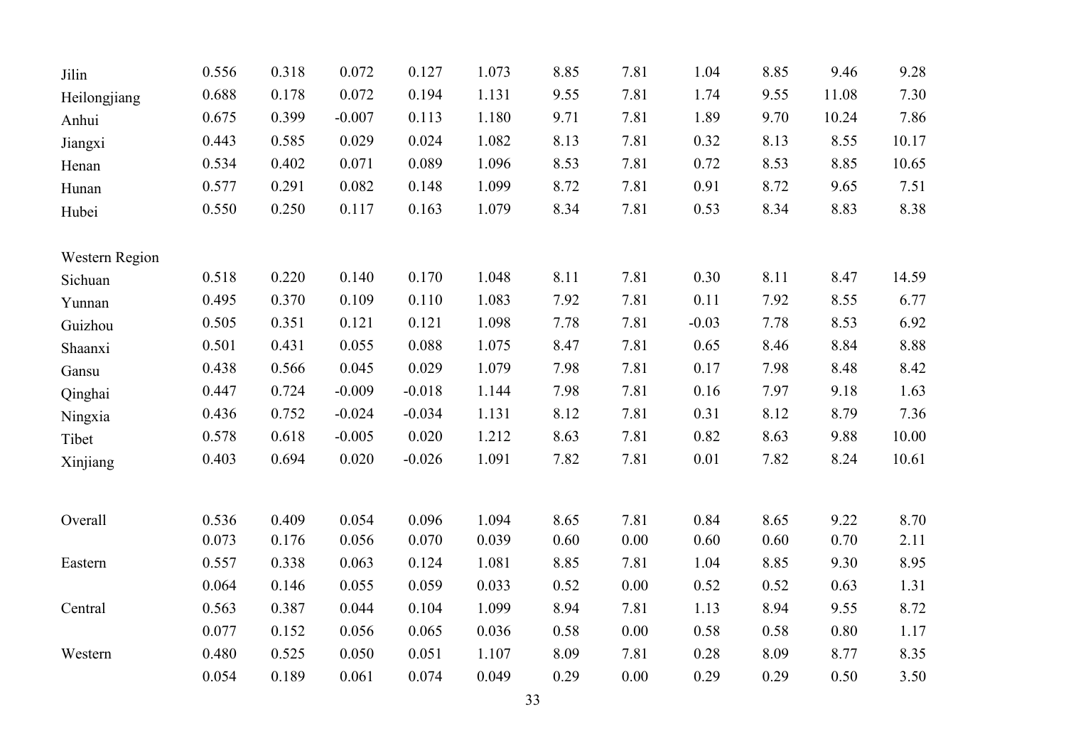| Jilin          | 0.556 | 0.318 | 0.072    | 0.127    | 1.073 | 8.85 | 7.81     | 1.04     | 8.85 | 9.46     | 9.28  |
|----------------|-------|-------|----------|----------|-------|------|----------|----------|------|----------|-------|
| Heilongjiang   | 0.688 | 0.178 | 0.072    | 0.194    | 1.131 | 9.55 | 7.81     | 1.74     | 9.55 | 11.08    | 7.30  |
| Anhui          | 0.675 | 0.399 | $-0.007$ | 0.113    | 1.180 | 9.71 | 7.81     | 1.89     | 9.70 | 10.24    | 7.86  |
| Jiangxi        | 0.443 | 0.585 | 0.029    | 0.024    | 1.082 | 8.13 | 7.81     | 0.32     | 8.13 | 8.55     | 10.17 |
| Henan          | 0.534 | 0.402 | 0.071    | 0.089    | 1.096 | 8.53 | 7.81     | 0.72     | 8.53 | 8.85     | 10.65 |
| Hunan          | 0.577 | 0.291 | 0.082    | 0.148    | 1.099 | 8.72 | 7.81     | 0.91     | 8.72 | 9.65     | 7.51  |
| Hubei          | 0.550 | 0.250 | 0.117    | 0.163    | 1.079 | 8.34 | 7.81     | 0.53     | 8.34 | 8.83     | 8.38  |
| Western Region |       |       |          |          |       |      |          |          |      |          |       |
| Sichuan        | 0.518 | 0.220 | 0.140    | 0.170    | 1.048 | 8.11 | 7.81     | 0.30     | 8.11 | 8.47     | 14.59 |
| Yunnan         | 0.495 | 0.370 | 0.109    | 0.110    | 1.083 | 7.92 | 7.81     | 0.11     | 7.92 | 8.55     | 6.77  |
| Guizhou        | 0.505 | 0.351 | 0.121    | 0.121    | 1.098 | 7.78 | 7.81     | $-0.03$  | 7.78 | 8.53     | 6.92  |
| Shaanxi        | 0.501 | 0.431 | 0.055    | 0.088    | 1.075 | 8.47 | 7.81     | 0.65     | 8.46 | 8.84     | 8.88  |
| Gansu          | 0.438 | 0.566 | 0.045    | 0.029    | 1.079 | 7.98 | 7.81     | 0.17     | 7.98 | 8.48     | 8.42  |
| Qinghai        | 0.447 | 0.724 | $-0.009$ | $-0.018$ | 1.144 | 7.98 | 7.81     | 0.16     | 7.97 | 9.18     | 1.63  |
| Ningxia        | 0.436 | 0.752 | $-0.024$ | $-0.034$ | 1.131 | 8.12 | 7.81     | 0.31     | 8.12 | 8.79     | 7.36  |
| Tibet          | 0.578 | 0.618 | $-0.005$ | 0.020    | 1.212 | 8.63 | 7.81     | 0.82     | 8.63 | 9.88     | 10.00 |
| Xinjiang       | 0.403 | 0.694 | 0.020    | $-0.026$ | 1.091 | 7.82 | 7.81     | $0.01\,$ | 7.82 | 8.24     | 10.61 |
| Overall        | 0.536 | 0.409 | 0.054    | 0.096    | 1.094 | 8.65 | 7.81     | 0.84     | 8.65 | 9.22     | 8.70  |
|                | 0.073 | 0.176 | 0.056    | 0.070    | 0.039 | 0.60 | $0.00\,$ | 0.60     | 0.60 | 0.70     | 2.11  |
| Eastern        | 0.557 | 0.338 | 0.063    | 0.124    | 1.081 | 8.85 | 7.81     | 1.04     | 8.85 | 9.30     | 8.95  |
|                | 0.064 | 0.146 | 0.055    | 0.059    | 0.033 | 0.52 | 0.00     | 0.52     | 0.52 | 0.63     | 1.31  |
| Central        | 0.563 | 0.387 | 0.044    | 0.104    | 1.099 | 8.94 | 7.81     | 1.13     | 8.94 | 9.55     | 8.72  |
|                | 0.077 | 0.152 | 0.056    | 0.065    | 0.036 | 0.58 | 0.00     | 0.58     | 0.58 | $0.80\,$ | 1.17  |
| Western        | 0.480 | 0.525 | 0.050    | 0.051    | 1.107 | 8.09 | 7.81     | 0.28     | 8.09 | 8.77     | 8.35  |
|                | 0.054 | 0.189 | 0.061    | 0.074    | 0.049 | 0.29 | 0.00     | 0.29     | 0.29 | 0.50     | 3.50  |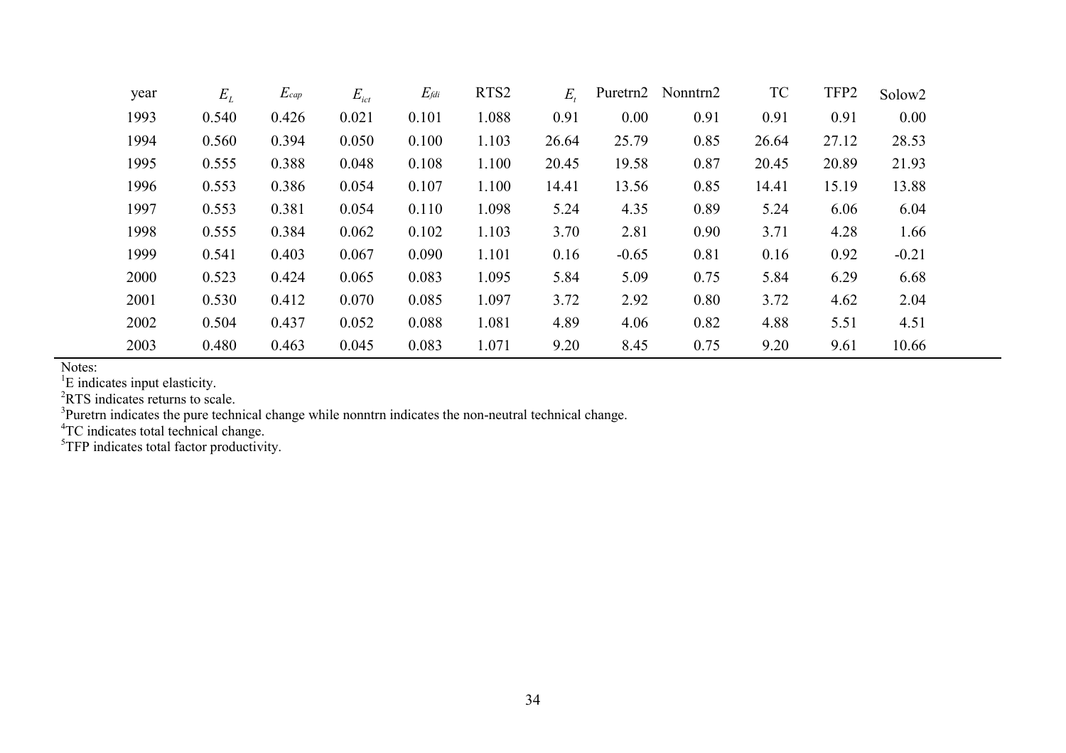| year | $E_L$ | $E_{cap}$ | $E_{ict}$ | $E_{\it fdi}$ | RTS <sub>2</sub> | $E_{\rm t}$ |         | Puretrn2 Nonntrn2 | <b>TC</b> | TFP2  | Solow <sub>2</sub> |
|------|-------|-----------|-----------|---------------|------------------|-------------|---------|-------------------|-----------|-------|--------------------|
| 1993 | 0.540 | 0.426     | 0.021     | 0.101         | 1.088            | 0.91        | 0.00    | 0.91              | 0.91      | 0.91  | 0.00               |
| 1994 | 0.560 | 0.394     | 0.050     | 0.100         | 1.103            | 26.64       | 25.79   | 0.85              | 26.64     | 27.12 | 28.53              |
| 1995 | 0.555 | 0.388     | 0.048     | 0.108         | 1.100            | 20.45       | 19.58   | 0.87              | 20.45     | 20.89 | 21.93              |
| 1996 | 0.553 | 0.386     | 0.054     | 0.107         | 1.100            | 14.41       | 13.56   | 0.85              | 14.41     | 15.19 | 13.88              |
| 1997 | 0.553 | 0.381     | 0.054     | 0.110         | 1.098            | 5.24        | 4.35    | 0.89              | 5.24      | 6.06  | 6.04               |
| 1998 | 0.555 | 0.384     | 0.062     | 0.102         | 1.103            | 3.70        | 2.81    | 0.90              | 3.71      | 4.28  | 1.66               |
| 1999 | 0.541 | 0.403     | 0.067     | 0.090         | 1.101            | 0.16        | $-0.65$ | 0.81              | 0.16      | 0.92  | $-0.21$            |
| 2000 | 0.523 | 0.424     | 0.065     | 0.083         | 1.095            | 5.84        | 5.09    | 0.75              | 5.84      | 6.29  | 6.68               |
| 2001 | 0.530 | 0.412     | 0.070     | 0.085         | 1.097            | 3.72        | 2.92    | 0.80              | 3.72      | 4.62  | 2.04               |
| 2002 | 0.504 | 0.437     | 0.052     | 0.088         | 1.081            | 4.89        | 4.06    | 0.82              | 4.88      | 5.51  | 4.51               |
| 2003 | 0.480 | 0.463     | 0.045     | 0.083         | 1.071            | 9.20        | 8.45    | 0.75              | 9.20      | 9.61  | 10.66              |

Notes:

<sup>1</sup>E indicates input elasticity.<br><sup>2</sup>RTS indicates returns to scale.<br><sup>3</sup>Puretrn indicates the pure technical change while nonntrn indicates the non-neutral technical change.<br><sup>4</sup>TC indicates total technical change.<br><sup>5</sup>TFP in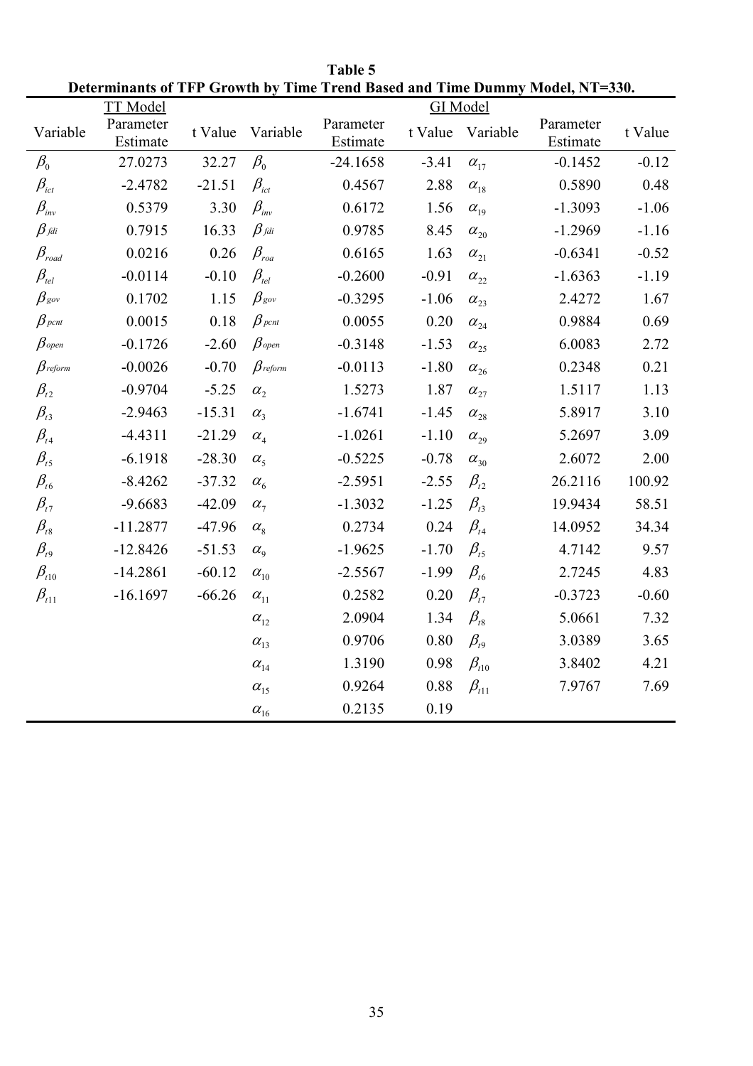|                                     | DUUI MMAMIS VI TTT<br><b>TT</b> Model | <b>SHOWLED</b> | THUC TT                          |                       |         | <b>GI</b> Model                  | thu Dastu and Thin Dummy Mouth, IVI | JJV,    |
|-------------------------------------|---------------------------------------|----------------|----------------------------------|-----------------------|---------|----------------------------------|-------------------------------------|---------|
| Variable                            | Parameter<br>Estimate                 | t Value        | Variable                         | Parameter<br>Estimate | t Value | Variable                         | Parameter<br>Estimate               | t Value |
| $\beta_{\scriptscriptstyle 0}$      | 27.0273                               | 32.27          | $\beta_{\scriptscriptstyle 0}$   | $-24.1658$            | $-3.41$ | $\alpha_{17}$                    | $-0.1452$                           | $-0.12$ |
| $\beta_{\rm\scriptscriptstyle ict}$ | $-2.4782$                             | $-21.51$       | $\beta_{\scriptscriptstyle ict}$ | 0.4567                | 2.88    | $\alpha_{18}$                    | 0.5890                              | 0.48    |
| $\beta_{\scriptscriptstyle inv}$    | 0.5379                                | 3.30           | $\beta_{\scriptscriptstyle inv}$ | 0.6172                | 1.56    | $\alpha_{19}$                    | $-1.3093$                           | $-1.06$ |
| $\beta$ fdi                         | 0.7915                                | 16.33          | $\beta_{\textit{fdi}}$           | 0.9785                | 8.45    | $\alpha_{\scriptscriptstyle 20}$ | $-1.2969$                           | $-1.16$ |
| $\beta_{\rm {road}}$                | 0.0216                                | 0.26           | $\beta_{\scriptscriptstyle roa}$ | 0.6165                | 1.63    | $\alpha_{21}$                    | $-0.6341$                           | $-0.52$ |
| $\beta_{\scriptscriptstyle tel}$    | $-0.0114$                             | $-0.10$        | $\beta_{\scriptscriptstyle tel}$ | $-0.2600$             | $-0.91$ | $\alpha_{\rm 22}$                | $-1.6363$                           | $-1.19$ |
| $\beta_{\textit{gov}}$              | 0.1702                                | 1.15           | $\beta_{\textit{gov}}$           | $-0.3295$             | $-1.06$ | $\alpha_{23}$                    | 2.4272                              | 1.67    |
| $\beta$ pcnt                        | 0.0015                                | 0.18           | $\beta_{\rm\,$                   | 0.0055                | 0.20    | $\alpha_{24}$                    | 0.9884                              | 0.69    |
| $\beta$ open                        | $-0.1726$                             | $-2.60$        | $\beta$ open                     | $-0.3148$             | $-1.53$ | $\alpha_{\scriptscriptstyle 25}$ | 6.0083                              | 2.72    |
| $\beta$ reform                      | $-0.0026$                             | $-0.70$        | $\beta$ reform                   | $-0.0113$             | $-1.80$ | $\alpha_{26}$                    | 0.2348                              | 0.21    |
| $\beta_{t2}$                        | $-0.9704$                             | $-5.25$        | $\alpha_{2}$                     | 1.5273                | 1.87    | $\alpha_{27}$                    | 1.5117                              | 1.13    |
| $\beta_{t3}$                        | $-2.9463$                             | $-15.31$       | $\alpha_{3}$                     | $-1.6741$             | $-1.45$ | $\alpha_{28}$                    | 5.8917                              | 3.10    |
| $\beta_{t4}$                        | $-4.4311$                             | $-21.29$       | $\alpha_{4}$                     | $-1.0261$             | $-1.10$ | $\alpha_{\scriptscriptstyle 29}$ | 5.2697                              | 3.09    |
| $\beta_{t5}$                        | $-6.1918$                             | $-28.30$       | $\alpha_{5}$                     | $-0.5225$             | $-0.78$ | $\alpha_{30}$                    | 2.6072                              | 2.00    |
| $\beta_{t6}$                        | $-8.4262$                             | $-37.32$       | $\alpha_{6}$                     | $-2.5951$             | $-2.55$ | $\beta_{t2}$                     | 26.2116                             | 100.92  |
| $\beta_{t7}$                        | $-9.6683$                             | $-42.09$       | $\alpha_{7}$                     | $-1.3032$             | $-1.25$ | $\beta_{t3}$                     | 19.9434                             | 58.51   |
| $\beta_{\rm \scriptscriptstyle t8}$ | $-11.2877$                            | $-47.96$       | $\alpha_{\rm s}$                 | 0.2734                | 0.24    | $\beta_{t4}$                     | 14.0952                             | 34.34   |
| $\beta_{t9}$                        | $-12.8426$                            | $-51.53$       | $\alpha_{\rm o}$                 | $-1.9625$             | $-1.70$ | $\beta_{t5}$                     | 4.7142                              | 9.57    |
| $\beta_{t10}$                       | $-14.2861$                            | $-60.12$       | $\alpha_{10}$                    | $-2.5567$             | $-1.99$ | $\beta_{\scriptscriptstyle t6}$  | 2.7245                              | 4.83    |
| $\beta_{t11}$                       | $-16.1697$                            | $-66.26$       | $\alpha_{11}$                    | 0.2582                | 0.20    | $\beta_{t7}$                     | $-0.3723$                           | $-0.60$ |
|                                     |                                       |                | $\alpha_{12}$                    | 2.0904                | 1.34    | $\beta_{18}$                     | 5.0661                              | 7.32    |
|                                     |                                       |                | $\alpha_{13}$                    | 0.9706                | 0.80    | $\beta_{t}$                      | 3.0389                              | 3.65    |
|                                     |                                       |                | $\alpha_{14}$                    | 1.3190                | 0.98    | $\beta_{t10}$                    | 3.8402                              | 4.21    |
|                                     |                                       |                | $\alpha_{15}$                    | 0.9264                | 0.88    | $\beta_{t11}$                    | 7.9767                              | 7.69    |
|                                     |                                       |                | $\alpha_{16}$                    | 0.2135                | 0.19    |                                  |                                     |         |

Table 5 Determinants of TFP Growth by Time Trend Based and Time Dummy Model, NT=330.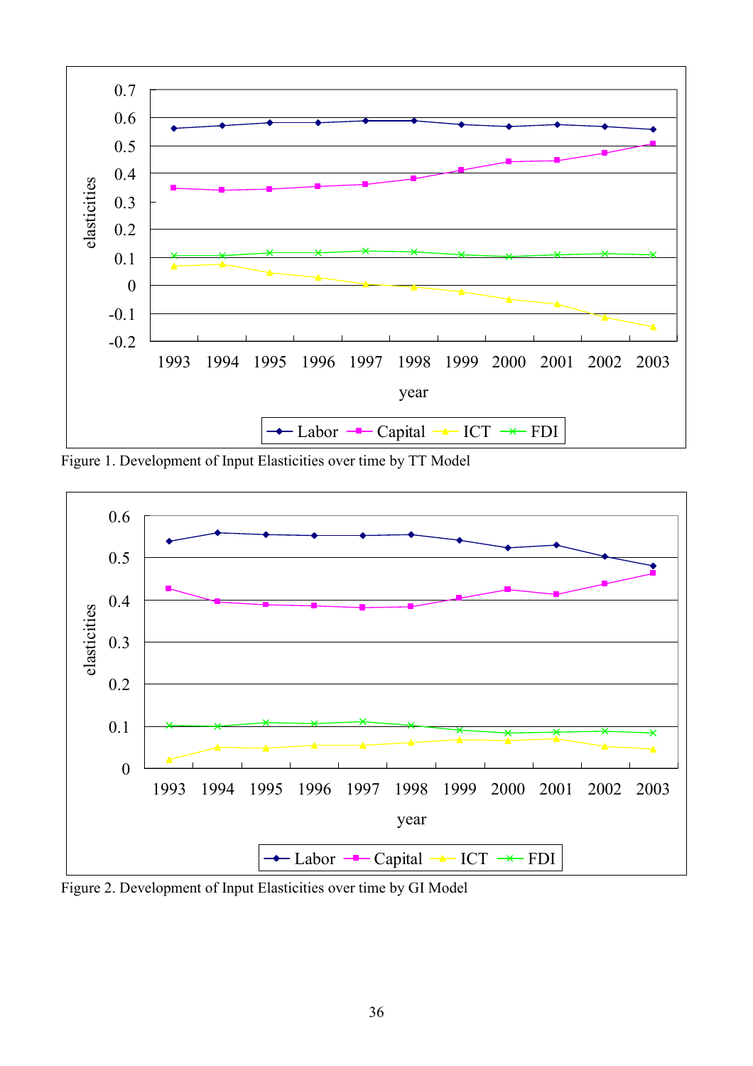

Figure 1. Development of Input Elasticities over time by TT Model



Figure 2. Development of Input Elasticities over time by GI Model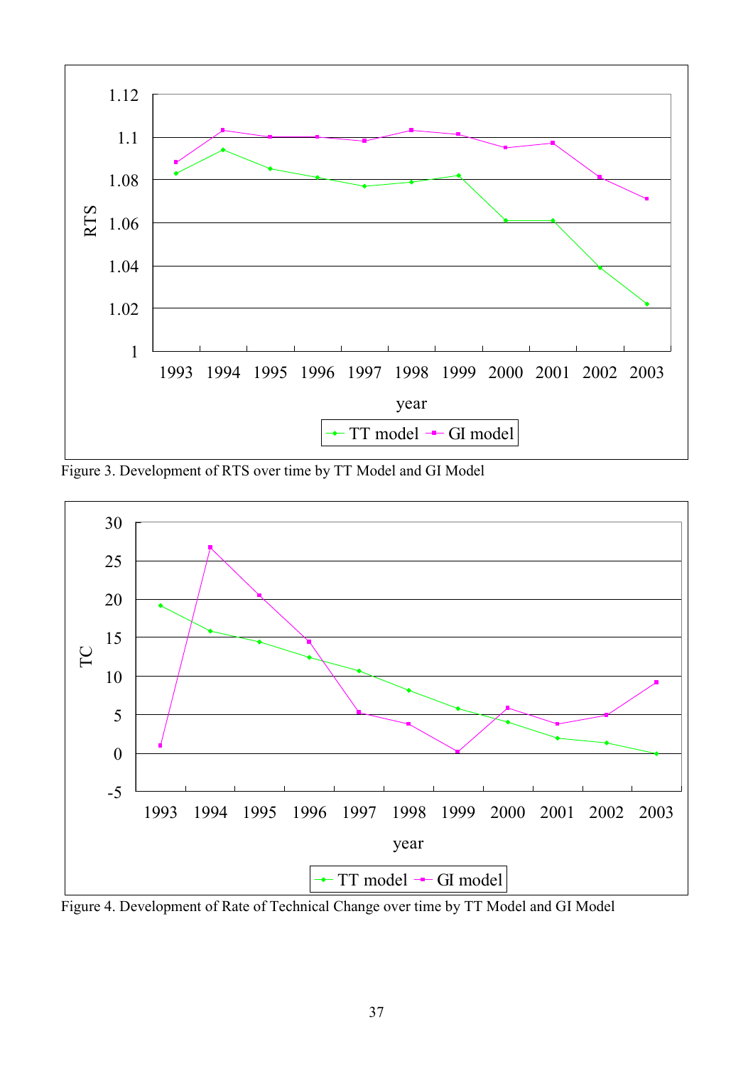

Figure 3. Development of RTS over time by TT Model and GI Model



Figure 4. Development of Rate of Technical Change over time by TT Model and GI Model